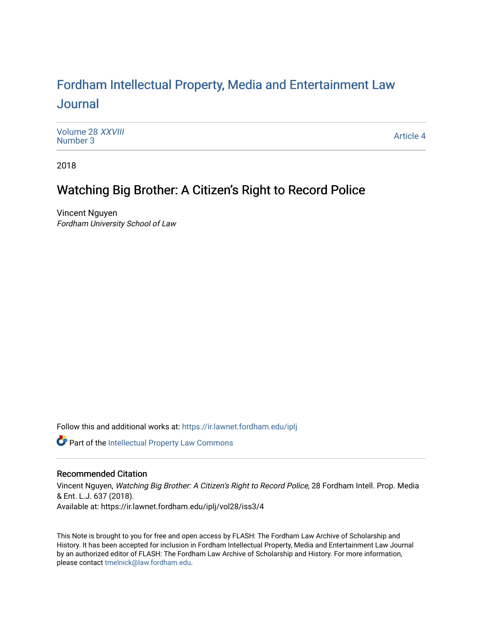# For[dham Intellectual Property, Media and Enter](https://ir.lawnet.fordham.edu/iplj)tainment Law [Journal](https://ir.lawnet.fordham.edu/iplj)

[Volume 28](https://ir.lawnet.fordham.edu/iplj/vol28) XXVIII<br>Number 3 [Number 3](https://ir.lawnet.fordham.edu/iplj/vol28/iss3) And the second second second second second second second second second second second second second second second second second second second second second second second second second second second second second se

2018

# Watching Big Brother: A Citizen's Right to Record Police

Vincent Nguyen Fordham University School of Law

Follow this and additional works at: [https://ir.lawnet.fordham.edu/iplj](https://ir.lawnet.fordham.edu/iplj?utm_source=ir.lawnet.fordham.edu%2Fiplj%2Fvol28%2Fiss3%2F4&utm_medium=PDF&utm_campaign=PDFCoverPages) 

Part of the [Intellectual Property Law Commons](http://network.bepress.com/hgg/discipline/896?utm_source=ir.lawnet.fordham.edu%2Fiplj%2Fvol28%2Fiss3%2F4&utm_medium=PDF&utm_campaign=PDFCoverPages) 

## Recommended Citation

Vincent Nguyen, Watching Big Brother: A Citizen's Right to Record Police, 28 Fordham Intell. Prop. Media & Ent. L.J. 637 (2018). Available at: https://ir.lawnet.fordham.edu/iplj/vol28/iss3/4

This Note is brought to you for free and open access by FLASH: The Fordham Law Archive of Scholarship and History. It has been accepted for inclusion in Fordham Intellectual Property, Media and Entertainment Law Journal by an authorized editor of FLASH: The Fordham Law Archive of Scholarship and History. For more information, please contact [tmelnick@law.fordham.edu](mailto:tmelnick@law.fordham.edu).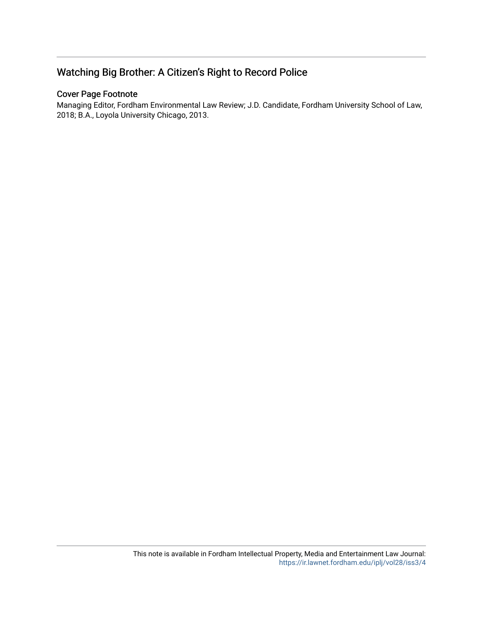# Watching Big Brother: A Citizen's Right to Record Police

# Cover Page Footnote

Managing Editor, Fordham Environmental Law Review; J.D. Candidate, Fordham University School of Law, 2018; B.A., Loyola University Chicago, 2013.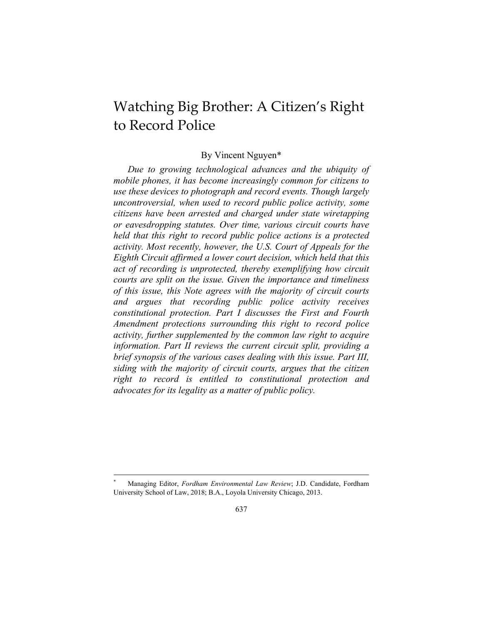# Watching Big Brother: A Citizen's Right to Record Police

### By Vincent Nguyen\*

*Due to growing technological advances and the ubiquity of mobile phones, it has become increasingly common for citizens to use these devices to photograph and record events. Though largely uncontroversial, when used to record public police activity, some citizens have been arrested and charged under state wiretapping or eavesdropping statutes. Over time, various circuit courts have held that this right to record public police actions is a protected activity. Most recently, however, the U.S. Court of Appeals for the Eighth Circuit affirmed a lower court decision, which held that this act of recording is unprotected, thereby exemplifying how circuit courts are split on the issue. Given the importance and timeliness of this issue, this Note agrees with the majority of circuit courts and argues that recording public police activity receives constitutional protection. Part I discusses the First and Fourth Amendment protections surrounding this right to record police activity, further supplemented by the common law right to acquire information. Part II reviews the current circuit split, providing a brief synopsis of the various cases dealing with this issue. Part III, siding with the majority of circuit courts, argues that the citizen right to record is entitled to constitutional protection and advocates for its legality as a matter of public policy.* 

<sup>\*</sup> Managing Editor, *Fordham Environmental Law Review*; J.D. Candidate, Fordham University School of Law, 2018; B.A., Loyola University Chicago, 2013.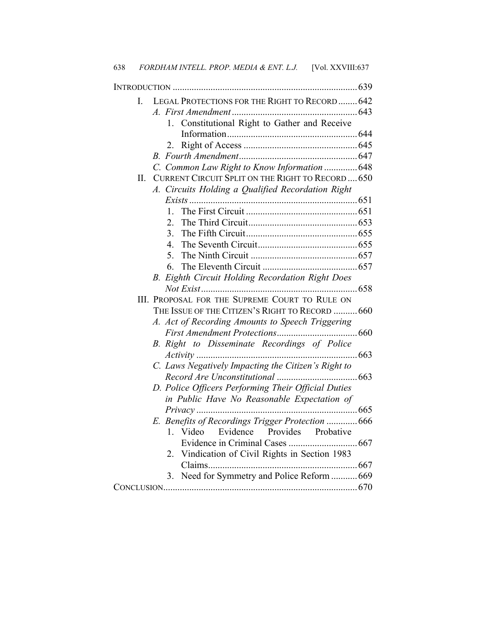| L       | LEGAL PROTECTIONS FOR THE RIGHT TO RECORD  642           |
|---------|----------------------------------------------------------|
|         |                                                          |
|         | 1. Constitutional Right to Gather and Receive            |
|         |                                                          |
|         | 2                                                        |
|         |                                                          |
|         | C. Common Law Right to Know Information  648             |
| $\Pi$ . | <b>CURRENT CIRCUIT SPLIT ON THE RIGHT TO RECORD  650</b> |
|         | A. Circuits Holding a Qualified Recordation Right        |
|         |                                                          |
|         | $\mathbf{1}$                                             |
|         | $\mathfrak{2}^-$                                         |
|         | 3.                                                       |
|         | 4                                                        |
|         | 5.                                                       |
|         | 6.                                                       |
|         | B. Eighth Circuit Holding Recordation Right Does         |
|         |                                                          |
|         | III. PROPOSAL FOR THE SUPREME COURT TO RULE ON           |
|         | THE ISSUE OF THE CITIZEN'S RIGHT TO RECORD  660          |
|         | A. Act of Recording Amounts to Speech Triggering         |
|         |                                                          |
|         | B. Right to Disseminate Recordings of Police             |
|         | 663                                                      |
|         | C. Laws Negatively Impacting the Citizen's Right to      |
|         |                                                          |
|         | D. Police Officers Performing Their Official Duties      |
|         | in Public Have No Reasonable Expectation of              |
|         | Privacy                                                  |
|         | E. Benefits of Recordings Trigger Protection  666        |
|         | 1. Video<br>Evidence<br>Provides<br>Probative            |
|         | Evidence in Criminal Cases<br>667                        |
|         | Vindication of Civil Rights in Section 1983<br>2.        |
|         |                                                          |
|         | Need for Symmetry and Police Reform  669<br>3.           |
|         |                                                          |

638 *FORDHAM INTELL. PROP. MEDIA & ENT. L.J.* [Vol. XXVIII:637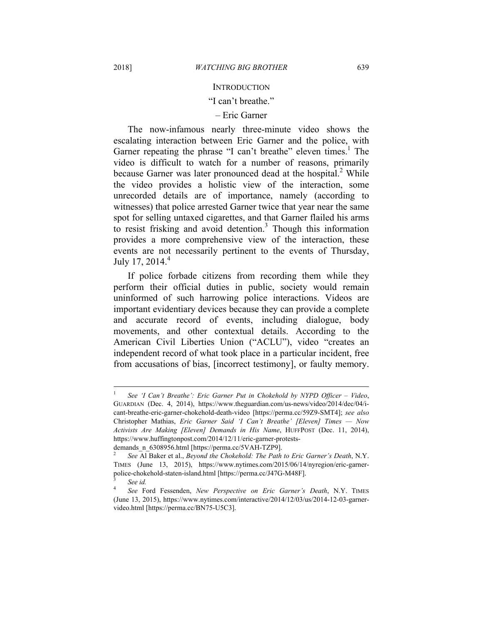#### **INTRODUCTION**

#### "I can't breathe."

#### – Eric Garner

The now-infamous nearly three-minute video shows the escalating interaction between Eric Garner and the police, with Garner repeating the phrase "I can't breathe" eleven times.<sup>1</sup> The video is difficult to watch for a number of reasons, primarily because Garner was later pronounced dead at the hospital. $2$  While the video provides a holistic view of the interaction, some unrecorded details are of importance, namely (according to witnesses) that police arrested Garner twice that year near the same spot for selling untaxed cigarettes, and that Garner flailed his arms to resist frisking and avoid detention.<sup>3</sup> Though this information provides a more comprehensive view of the interaction, these events are not necessarily pertinent to the events of Thursday, July 17,  $2014.<sup>4</sup>$ 

If police forbade citizens from recording them while they perform their official duties in public, society would remain uninformed of such harrowing police interactions. Videos are important evidentiary devices because they can provide a complete and accurate record of events, including dialogue, body movements, and other contextual details. According to the American Civil Liberties Union ("ACLU"), video "creates an independent record of what took place in a particular incident, free from accusations of bias, [incorrect testimony], or faulty memory.

<sup>1</sup>  *See 'I Can't Breathe': Eric Garner Put in Chokehold by NYPD Officer – Video*, GUARDIAN (Dec. 4, 2014), https://www.theguardian.com/us-news/video/2014/dec/04/icant-breathe-eric-garner-chokehold-death-video [https://perma.cc/59Z9-SMT4]; *see also*  Christopher Mathias, *Eric Garner Said 'I Can't Breathe' [Eleven] Times — Now Activists Are Making [Eleven] Demands in His Name*, HUFFPOST (Dec. 11, 2014), https://www.huffingtonpost.com/2014/12/11/eric-garner-protestsdemands\_n\_6308956.html [https://perma.cc/5VAH-TZP9].

<sup>2</sup>  *See* Al Baker et al., *Beyond the Chokehold: The Path to Eric Garner's Death*, N.Y. TIMES (June 13, 2015), https://www.nytimes.com/2015/06/14/nyregion/eric-garnerpolice-chokehold-staten-island.html [https://perma.cc/J47G-M48F]. 3

*See id.*

<sup>4</sup>  *See* Ford Fessenden, *New Perspective on Eric Garner's Death*, N.Y. TIMES (June 13, 2015), https://www.nytimes.com/interactive/2014/12/03/us/2014-12-03-garnervideo.html [https://perma.cc/BN75-U5C3].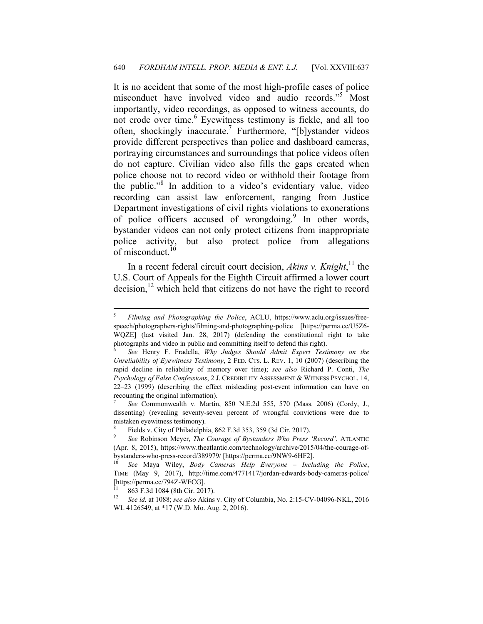It is no accident that some of the most high-profile cases of police misconduct have involved video and audio records."<sup>5</sup> Most importantly, video recordings, as opposed to witness accounts, do not erode over time.<sup>6</sup> Eyewitness testimony is fickle, and all too often, shockingly inaccurate.<sup>7</sup> Furthermore, "[b]ystander videos provide different perspectives than police and dashboard cameras, portraying circumstances and surroundings that police videos often do not capture. Civilian video also fills the gaps created when police choose not to record video or withhold their footage from the public."8 In addition to a video's evidentiary value, video recording can assist law enforcement, ranging from Justice Department investigations of civil rights violations to exonerations of police officers accused of wrongdoing.<sup>9</sup> In other words, bystander videos can not only protect citizens from inappropriate police activity, but also protect police from allegations of misconduct.<sup>10</sup>

In a recent federal circuit court decision, *Akins v. Knight*,<sup>11</sup> the U.S. Court of Appeals for the Eighth Circuit affirmed a lower court decision,<sup>12</sup> which held that citizens do not have the right to record

7  *See* Commonwealth v. Martin, 850 N.E.2d 555, 570 (Mass. 2006) (Cordy, J., dissenting) (revealing seventy-seven percent of wrongful convictions were due to mistaken eyewitness testimony).

8 Fields v. City of Philadelphia, 862 F.3d 353, 359 (3d Cir. 2017).

<sup>5</sup>  *Filming and Photographing the Police*, ACLU, https://www.aclu.org/issues/freespeech/photographers-rights/filming-and-photographing-police [https://perma.cc/U5Z6- WQZE] (last visited Jan. 28, 2017) (defending the constitutional right to take photographs and video in public and committing itself to defend this right).

<sup>6</sup>  *See* Henry F. Fradella, *Why Judges Should Admit Expert Testimony on the Unreliability of Eyewitness Testimony*, 2 FED. CTS. L. REV. 1, 10 (2007) (describing the rapid decline in reliability of memory over time); *see also* Richard P. Conti, *The Psychology of False Confessions*, 2 J. CREDIBILITY ASSESSMENT & WITNESS PSYCHOL. 14, 22–23 (1999) (describing the effect misleading post-event information can have on recounting the original information).

<sup>9</sup>  *See* Robinson Meyer, *The Courage of Bystanders Who Press 'Record'*, ATLANTIC (Apr. 8, 2015), https://www.theatlantic.com/technology/archive/2015/04/the-courage-ofbystanders-who-press-record/389979/ [https://perma.cc/9NW9-6HF2].

<sup>10</sup> *See* Maya Wiley, *Body Cameras Help Everyone – Including the Police*, TIME (May 9, 2017), http://time.com/4771417/jordan-edwards-body-cameras-police/ [https://perma.cc/794Z-WFCG].

<sup>&</sup>lt;sup>11</sup> 863 F.3d 1084 (8th Cir. 2017).<br><sup>12</sup> See id. at 1088; see also Akins

<sup>12</sup> *See id.* at 1088; *see also* Akins v. City of Columbia, No. 2:15-CV-04096-NKL, 2016 WL 4126549, at \*17 (W.D. Mo. Aug. 2, 2016).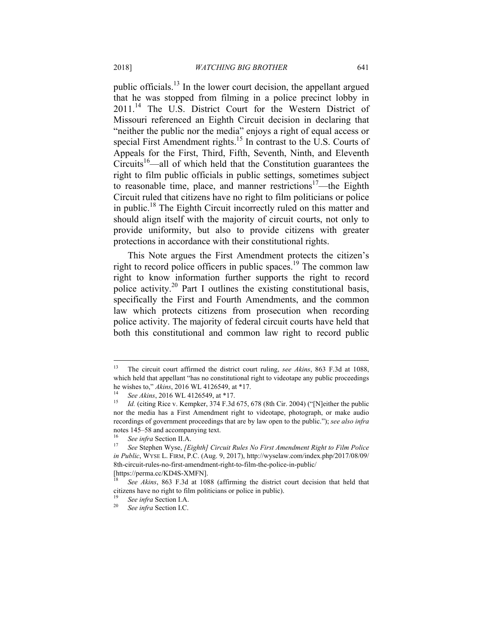public officials.13 In the lower court decision, the appellant argued that he was stopped from filming in a police precinct lobby in 2011.14 The U.S. District Court for the Western District of Missouri referenced an Eighth Circuit decision in declaring that "neither the public nor the media" enjoys a right of equal access or special First Amendment rights.<sup>15</sup> In contrast to the U.S. Courts of Appeals for the First, Third, Fifth, Seventh, Ninth, and Eleventh Circuits<sup>16</sup>—all of which held that the Constitution guarantees the right to film public officials in public settings, sometimes subject to reasonable time, place, and manner restrictions<sup>17</sup>—the Eighth Circuit ruled that citizens have no right to film politicians or police in public.18 The Eighth Circuit incorrectly ruled on this matter and should align itself with the majority of circuit courts, not only to provide uniformity, but also to provide citizens with greater protections in accordance with their constitutional rights.

This Note argues the First Amendment protects the citizen's right to record police officers in public spaces.<sup>19</sup> The common law right to know information further supports the right to record police activity.<sup>20</sup> Part I outlines the existing constitutional basis, specifically the First and Fourth Amendments, and the common law which protects citizens from prosecution when recording police activity. The majority of federal circuit courts have held that both this constitutional and common law right to record public

<sup>13</sup> The circuit court affirmed the district court ruling, *see Akins*, 863 F.3d at 1088, which held that appellant "has no constitutional right to videotape any public proceedings he wishes to," *Akins*, 2016 WL 4126549, at \*17.

<sup>&</sup>lt;sup>14</sup> See Akins, 2016 WL 4126549, at \*17.<br><sup>15</sup> Id. (citing Rice v. Kempker, 374 F.3d 675, 678 (8th Cir. 2004) ("[N]either the public nor the media has a First Amendment right to videotape, photograph, or make audio recordings of government proceedings that are by law open to the public."); *see also infra* notes 145–58 and accompanying text.

<sup>&</sup>lt;sup>16</sup> See infra Section II.A.<br><sup>17</sup> See Stephen Wyse, *[Eighth] Circuit Rules No First Amendment Right to Film Police in Public*, WYSE L. FIRM, P.C. (Aug. 9, 2017), http://wyselaw.com/index.php/2017/08/09/ 8th-circuit-rules-no-first-amendment-right-to-film-the-police-in-public/

<sup>[</sup>https://perma.cc/KD4S-XMFN].

<sup>18</sup> *See Akins*, 863 F.3d at 1088 (affirming the district court decision that held that citizens have no right to film politicians or police in public). 19 *See infra* Section I.A. 20 *See infra* Section I.C.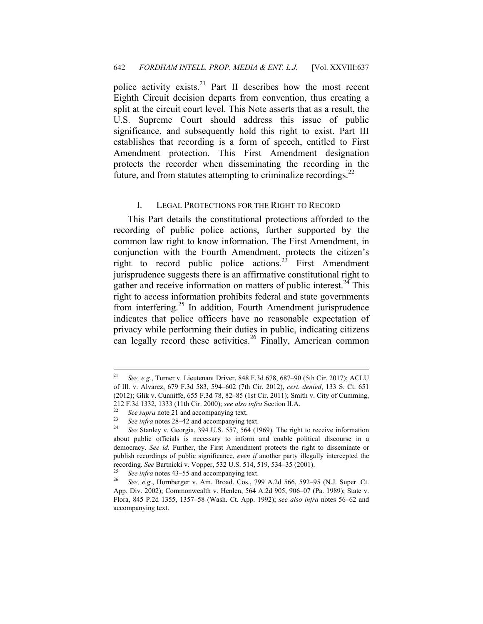police activity exists.<sup>21</sup> Part II describes how the most recent Eighth Circuit decision departs from convention, thus creating a split at the circuit court level. This Note asserts that as a result, the U.S. Supreme Court should address this issue of public significance, and subsequently hold this right to exist. Part III establishes that recording is a form of speech, entitled to First Amendment protection. This First Amendment designation protects the recorder when disseminating the recording in the future, and from statutes attempting to criminalize recordings. $^{22}$ 

#### I. LEGAL PROTECTIONS FOR THE RIGHT TO RECORD

This Part details the constitutional protections afforded to the recording of public police actions, further supported by the common law right to know information. The First Amendment, in conjunction with the Fourth Amendment, protects the citizen's right to record public police actions.<sup>23</sup> First Amendment jurisprudence suggests there is an affirmative constitutional right to gather and receive information on matters of public interest.<sup>24</sup> This right to access information prohibits federal and state governments from interfering.<sup>25</sup> In addition, Fourth Amendment jurisprudence indicates that police officers have no reasonable expectation of privacy while performing their duties in public, indicating citizens can legally record these activities.<sup>26</sup> Finally, American common

 $21$ <sup>21</sup> *See, e.g.*, Turner v. Lieutenant Driver, 848 F.3d 678, 687–90 (5th Cir. 2017); ACLU of Ill. v. Alvarez, 679 F.3d 583, 594–602 (7th Cir. 2012), *cert. denied*, 133 S. Ct. 651 (2012); Glik v. Cunniffe, 655 F.3d 78, 82–85 (1st Cir. 2011); Smith v. City of Cumming, 212 F.3d 1332, 1333 (11th Cir. 2000); *see also infra* Section II.A.<br>
<sup>22</sup> See supra note 21 and accompanying text.<br>
<sup>23</sup> See infra notes 28–42 and accompanying text.<br>
<sup>24</sup> See Stanley v. Georgia, 394 U.S. 557, 564 (1969)

about public officials is necessary to inform and enable political discourse in a democracy. *See id.* Further, the First Amendment protects the right to disseminate or publish recordings of public significance, *even if* another party illegally intercepted the recording. *See Bartnicki v. Vopper, 532 U.S. 514, 519, 534–35 (2001).*<br><sup>25</sup> *See infra* notes 43–55 and accompanying text.<br><sup>26</sup> *See, e.g.*, Hornberger v. Am. Broad. Cos., 799 A.2d 566, 592–95 (N.J. Super. Ct.

App. Div. 2002); Commonwealth v. Henlen, 564 A.2d 905, 906–07 (Pa. 1989); State v. Flora, 845 P.2d 1355, 1357–58 (Wash. Ct. App. 1992); *see also infra* notes 56–62 and accompanying text.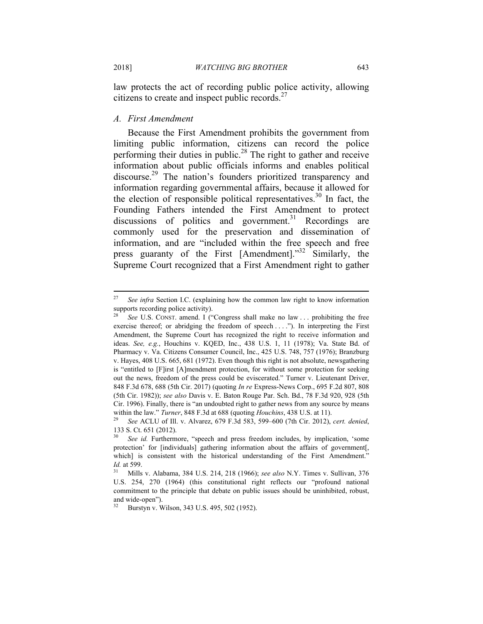law protects the act of recording public police activity, allowing citizens to create and inspect public records. $27$ 

#### *A. First Amendment*

Because the First Amendment prohibits the government from limiting public information, citizens can record the police performing their duties in public.<sup>28</sup> The right to gather and receive information about public officials informs and enables political discourse.<sup>29</sup> The nation's founders prioritized transparency and information regarding governmental affairs, because it allowed for the election of responsible political representatives.<sup>30</sup> In fact, the Founding Fathers intended the First Amendment to protect discussions of politics and government.<sup>31</sup> Recordings are commonly used for the preservation and dissemination of information, and are "included within the free speech and free press guaranty of the First [Amendment]."32 Similarly, the Supreme Court recognized that a First Amendment right to gather

<sup>27</sup> *See infra* Section I.C. (explaining how the common law right to know information supports recording police activity).

See U.S. CONST. amend. I ("Congress shall make no law . . . prohibiting the free exercise thereof; or abridging the freedom of speech . . . ."). In interpreting the First Amendment, the Supreme Court has recognized the right to receive information and ideas. *See, e.g.*, Houchins v. KQED, Inc., 438 U.S. 1, 11 (1978); Va. State Bd. of Pharmacy v. Va. Citizens Consumer Council, Inc., 425 U.S. 748, 757 (1976); Branzburg v. Hayes, 408 U.S. 665, 681 (1972). Even though this right is not absolute, newsgathering is "entitled to [F]irst [A]mendment protection, for without some protection for seeking out the news, freedom of the press could be eviscerated." Turner v. Lieutenant Driver, 848 F.3d 678, 688 (5th Cir. 2017) (quoting *In re* Express-News Corp., 695 F.2d 807, 808 (5th Cir. 1982)); *see also* Davis v. E. Baton Rouge Par. Sch. Bd., 78 F.3d 920, 928 (5th Cir. 1996). Finally, there is "an undoubted right to gather news from any source by means within the law." *Turner*, 848 F.3d at 688 (quoting *Houchins*, 438 U.S. at 11). 29 *See* ACLU of Ill. v. Alvarez, 679 F.3d 583, 599–600 (7th Cir. 2012), *cert. denied*,

<sup>133</sup> S. Ct. 651 (2012).

See *id.* Furthermore, "speech and press freedom includes, by implication, 'some protection' for [individuals] gathering information about the affairs of government[, which] is consistent with the historical understanding of the First Amendment." *Id.* at 599. 31 Mills v. Alabama, 384 U.S. 214, 218 (1966); *see also* N.Y. Times v. Sullivan, 376

U.S. 254, 270 (1964) (this constitutional right reflects our "profound national commitment to the principle that debate on public issues should be uninhibited, robust, and wide-open").

<sup>32</sup> Burstyn v. Wilson, 343 U.S. 495, 502 (1952).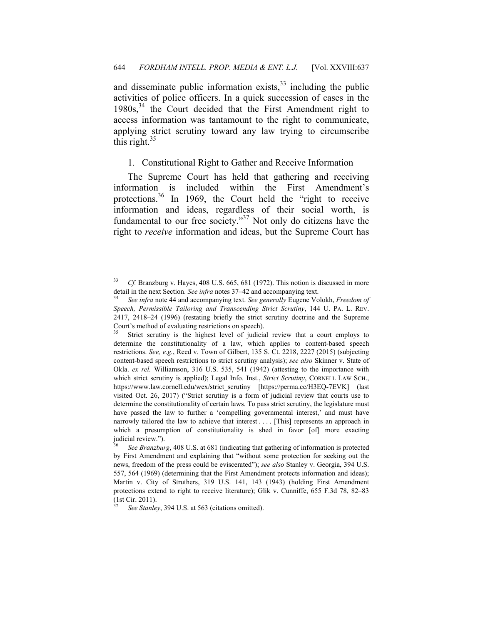and disseminate public information exists, $33$  including the public activities of police officers. In a quick succession of cases in the  $1980s$ ,  $34$  the Court decided that the First Amendment right to access information was tantamount to the right to communicate, applying strict scrutiny toward any law trying to circumscribe this right. $35$ 

#### 1. Constitutional Right to Gather and Receive Information

The Supreme Court has held that gathering and receiving information is included within the First Amendment's protections.<sup>36</sup> In 1969, the Court held the "right to receive information and ideas, regardless of their social worth, is fundamental to our free society."<sup>37</sup> Not only do citizens have the right to *receive* information and ideas, but the Supreme Court has

1

<sup>33</sup> *Cf.* Branzburg v. Hayes, 408 U.S. 665, 681 (1972). This notion is discussed in more detail in the next Section. *See infra* notes 37–42 and accompanying text. 34 *See infra* note 44 and accompanying text. *See generally* Eugene Volokh, *Freedom of* 

*Speech, Permissible Tailoring and Transcending Strict Scrutiny*, 144 U. PA. L. REV. 2417, 2418–24 (1996) (restating briefly the strict scrutiny doctrine and the Supreme Court's method of evaluating restrictions on speech).

Strict scrutiny is the highest level of judicial review that a court employs to determine the constitutionality of a law, which applies to content-based speech restrictions. *See, e.g.*, Reed v. Town of Gilbert, 135 S. Ct. 2218, 2227 (2015) (subjecting content-based speech restrictions to strict scrutiny analysis); *see also* Skinner v. State of Okla. *ex rel.* Williamson, 316 U.S. 535, 541 (1942) (attesting to the importance with which strict scrutiny is applied); Legal Info. Inst., *Strict Scrutiny*, CORNELL LAW SCH., https://www.law.cornell.edu/wex/strict\_scrutiny [https://perma.cc/H3EQ-7EVK] (last visited Oct. 26, 2017) ("Strict scrutiny is a form of judicial review that courts use to determine the constitutionality of certain laws. To pass strict scrutiny, the legislature must have passed the law to further a 'compelling governmental interest,' and must have narrowly tailored the law to achieve that interest . . . . [This] represents an approach in which a presumption of constitutionality is shed in favor [of] more exacting judicial review.").

<sup>36</sup> *See Branzburg*, 408 U.S. at 681 (indicating that gathering of information is protected by First Amendment and explaining that "without some protection for seeking out the news, freedom of the press could be eviscerated"); *see also* Stanley v. Georgia, 394 U.S. 557, 564 (1969) (determining that the First Amendment protects information and ideas); Martin v. City of Struthers, 319 U.S. 141, 143 (1943) (holding First Amendment protections extend to right to receive literature); Glik v. Cunniffe, 655 F.3d 78, 82–83 (1st Cir. 2011).

See Stanley, 394 U.S. at 563 (citations omitted).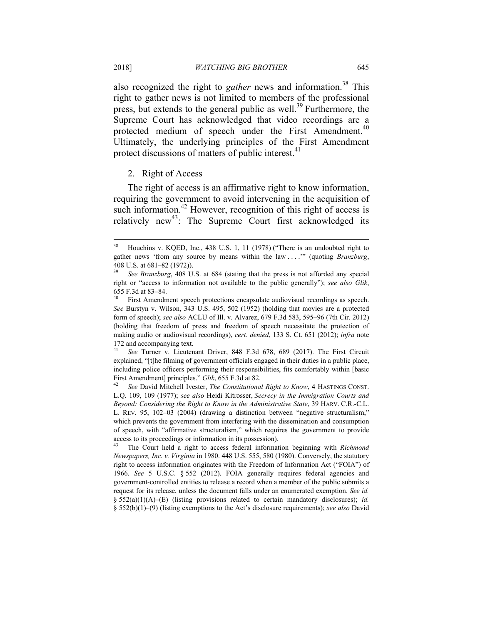also recognized the right to *gather* news and information.<sup>38</sup> This right to gather news is not limited to members of the professional press, but extends to the general public as well.39 Furthermore, the Supreme Court has acknowledged that video recordings are a protected medium of speech under the First Amendment.<sup>40</sup> Ultimately, the underlying principles of the First Amendment protect discussions of matters of public interest.<sup>41</sup>

#### 2. Right of Access

The right of access is an affirmative right to know information, requiring the government to avoid intervening in the acquisition of such information.<sup>42</sup> However, recognition of this right of access is relatively new<sup>43</sup>: The Supreme Court first acknowledged its

<sup>38</sup> Houchins v. KQED, Inc., 438 U.S. 1, 11 (1978) ("There is an undoubted right to gather news 'from any source by means within the law . . . .'" (quoting *Branzburg*, 408 U.S. at 681–82 (1972)).

See Branzburg, 408 U.S. at 684 (stating that the press is not afforded any special right or "access to information not available to the public generally"); *see also Glik*, 655 F.3d at 83–84.

First Amendment speech protections encapsulate audiovisual recordings as speech. *See* Burstyn v. Wilson, 343 U.S. 495, 502 (1952) (holding that movies are a protected form of speech); *see also* ACLU of Ill. v. Alvarez, 679 F.3d 583, 595–96 (7th Cir. 2012) (holding that freedom of press and freedom of speech necessitate the protection of making audio or audiovisual recordings), *cert. denied*, 133 S. Ct. 651 (2012); *infra* note 172 and accompanying text.

<sup>41</sup> *See* Turner v. Lieutenant Driver, 848 F.3d 678, 689 (2017). The First Circuit explained, "[t]he filming of government officials engaged in their duties in a public place, including police officers performing their responsibilities, fits comfortably within [basic First Amendment] principles." *Glik*, 655 F.3d at 82.<br><sup>42</sup> See David Mitchell Ivester, *The Constitutional Right to Know*, 4 HASTINGS CONST.

L.Q. 109, 109 (1977); *see also* Heidi Kitrosser, *Secrecy in the Immigration Courts and Beyond: Considering the Right to Know in the Administrative State*, 39 HARV. C.R.-C.L. L. REV. 95, 102–03 (2004) (drawing a distinction between "negative structuralism," which prevents the government from interfering with the dissemination and consumption of speech, with "affirmative structuralism," which requires the government to provide access to its proceedings or information in its possession).

<sup>43</sup> The Court held a right to access federal information beginning with *Richmond Newspapers, Inc. v. Virginia* in 1980. 448 U.S. 555, 580 (1980). Conversely, the statutory right to access information originates with the Freedom of Information Act ("FOIA") of 1966. *See* 5 U.S.C. § 552 (2012). FOIA generally requires federal agencies and government-controlled entities to release a record when a member of the public submits a request for its release, unless the document falls under an enumerated exemption. *See id.* § 552(a)(1)(A)–(E) (listing provisions related to certain mandatory disclosures); *id.*  § 552(b)(1)–(9) (listing exemptions to the Act's disclosure requirements); *see also* David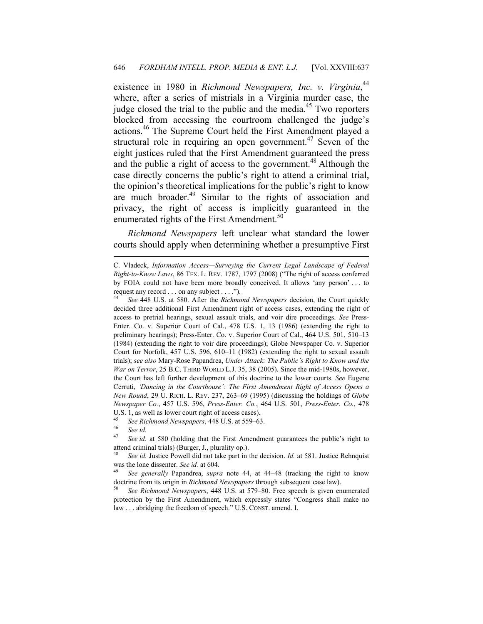existence in 1980 in *Richmond Newspapers, Inc. v. Virginia*,<sup>44</sup> where, after a series of mistrials in a Virginia murder case, the judge closed the trial to the public and the media.<sup>45</sup> Two reporters blocked from accessing the courtroom challenged the judge's actions.46 The Supreme Court held the First Amendment played a structural role in requiring an open government.<sup>47</sup> Seven of the eight justices ruled that the First Amendment guaranteed the press and the public a right of access to the government.<sup>48</sup> Although the case directly concerns the public's right to attend a criminal trial, the opinion's theoretical implications for the public's right to know are much broader.<sup>49</sup> Similar to the rights of association and privacy, the right of access is implicitly guaranteed in the enumerated rights of the First Amendment.<sup>50</sup>

*Richmond Newspapers* left unclear what standard the lower courts should apply when determining whether a presumptive First

C. Vladeck, *Information Access—Surveying the Current Legal Landscape of Federal Right-to-Know Laws*, 86 TEX. L. REV. 1787, 1797 (2008) ("The right of access conferred by FOIA could not have been more broadly conceived. It allows 'any person' . . . to request any record . . . on any subject . . . .").

<sup>44</sup> *See* 448 U.S. at 580. After the *Richmond Newspapers* decision, the Court quickly decided three additional First Amendment right of access cases, extending the right of access to pretrial hearings, sexual assault trials, and voir dire proceedings. *See* Press-Enter. Co. v. Superior Court of Cal., 478 U.S. 1, 13 (1986) (extending the right to preliminary hearings); Press-Enter. Co. v. Superior Court of Cal., 464 U.S. 501, 510–13 (1984) (extending the right to voir dire proceedings); Globe Newspaper Co. v. Superior Court for Norfolk, 457 U.S. 596, 610–11 (1982) (extending the right to sexual assault trials); *see also* Mary-Rose Papandrea, *Under Attack: The Public's Right to Know and the War on Terror*, 25 B.C. THIRD WORLD L.J. 35, 38 (2005). Since the mid-1980s, however, the Court has left further development of this doctrine to the lower courts. *See* Eugene Cerruti, *'Dancing in the Courthouse': The First Amendment Right of Access Opens a New Round*, 29 U. RICH. L. REV. 237, 263–69 (1995) (discussing the holdings of *Globe Newspaper Co.*, 457 U.S. 596, *Press-Enter. Co.*, 464 U.S. 501, *Press-Enter. Co.*, 478 U.S. 1, as well as lower court right of access cases).

<sup>45</sup> See Richmond Newspapers, 448 U.S. at 559–63.<br><sup>46</sup> See id.<br><sup>47</sup> See id. at 580 (holding that the First Amendm

*See id.* at 580 (holding that the First Amendment guarantees the public's right to attend criminal trials) (Burger, J., plurality op.).

<sup>48</sup> *See id.* Justice Powell did not take part in the decision. *Id.* at 581. Justice Rehnquist was the lone dissenter. *See id.* at 604.<br><sup>49</sup> *See generally* Papandrea, *supra* note 44, at 44–48 (tracking the right to know

doctrine from its origin in *Richmond Newspapers* through subsequent case law). 50 *See Richmond Newspapers*, 448 U.S. at 579–80. Free speech is given enumerated

protection by the First Amendment, which expressly states "Congress shall make no law . . . abridging the freedom of speech." U.S. CONST. amend. I.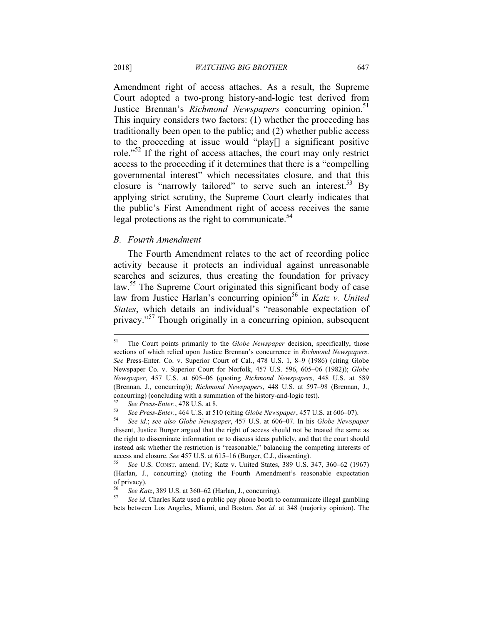Amendment right of access attaches. As a result, the Supreme Court adopted a two-prong history-and-logic test derived from Justice Brennan's *Richmond Newspapers* concurring opinion.<sup>51</sup> This inquiry considers two factors: (1) whether the proceeding has traditionally been open to the public; and (2) whether public access to the proceeding at issue would "play[] a significant positive role.<sup>"52</sup> If the right of access attaches, the court may only restrict access to the proceeding if it determines that there is a "compelling governmental interest" which necessitates closure, and that this closure is "narrowly tailored" to serve such an interest.<sup>53</sup> By applying strict scrutiny, the Supreme Court clearly indicates that the public's First Amendment right of access receives the same legal protections as the right to communicate. $54$ 

#### *B. Fourth Amendment*

The Fourth Amendment relates to the act of recording police activity because it protects an individual against unreasonable searches and seizures, thus creating the foundation for privacy law.<sup>55</sup> The Supreme Court originated this significant body of case law from Justice Harlan's concurring opinion<sup>56</sup> in *Katz v. United States*, which details an individual's "reasonable expectation of privacy."57 Though originally in a concurring opinion, subsequent

<sup>56</sup> *See Katz*, 389 U.S. at 360–62 (Harlan, J., concurring). 57 *See id.* Charles Katz used a public pay phone booth to communicate illegal gambling bets between Los Angeles, Miami, and Boston. *See id.* at 348 (majority opinion). The

<sup>51</sup> The Court points primarily to the *Globe Newspaper* decision, specifically, those sections of which relied upon Justice Brennan's concurrence in *Richmond Newspapers*. *See* Press-Enter. Co. v. Superior Court of Cal., 478 U.S. 1, 8–9 (1986) (citing Globe Newspaper Co. v. Superior Court for Norfolk, 457 U.S. 596, 605–06 (1982)); *Globe Newspaper*, 457 U.S. at 605–06 (quoting *Richmond Newspapers*, 448 U.S. at 589 (Brennan, J., concurring)); *Richmond Newspapers*, 448 U.S. at 597–98 (Brennan, J., concurring) (concluding with a summation of the history-and-logic test).

<sup>&</sup>lt;sup>52</sup> See Press-Enter., 478 U.S. at 8.<br><sup>53</sup> See Press-Enter., 464 U.S. at 510 (citing *Globe Newspaper*, 457 U.S. at 606–07).<br><sup>54</sup> See id.; see also *Globe Newspaper*, 457 U.S. at 606–07. In his *Globe Newspaper* 

dissent, Justice Burger argued that the right of access should not be treated the same as the right to disseminate information or to discuss ideas publicly, and that the court should instead ask whether the restriction is "reasonable," balancing the competing interests of access and closure. *See* 457 U.S. at 615–16 (Burger, C.J., dissenting).

<sup>55</sup> *See* U.S. CONST. amend. IV; Katz v. United States, 389 U.S. 347, 360–62 (1967) (Harlan, J., concurring) (noting the Fourth Amendment's reasonable expectation of privacy).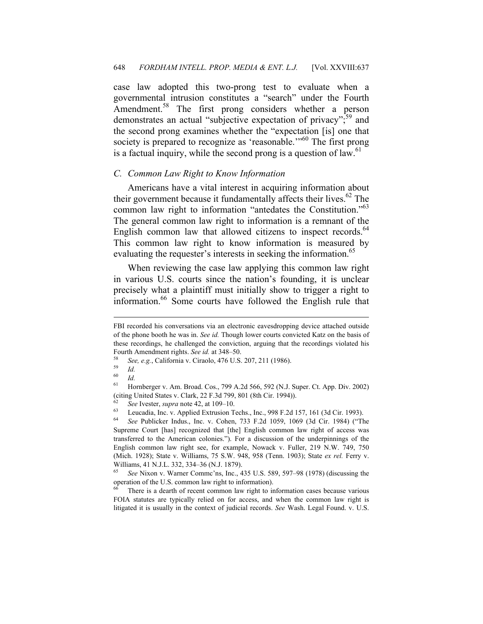case law adopted this two-prong test to evaluate when a governmental intrusion constitutes a "search" under the Fourth Amendment.<sup>58</sup> The first prong considers whether a person demonstrates an actual "subjective expectation of privacy";<sup>59</sup> and the second prong examines whether the "expectation [is] one that society is prepared to recognize as 'reasonable.'"<sup>60</sup> The first prong is a factual inquiry, while the second prong is a question of law. $61$ 

#### *C. Common Law Right to Know Information*

Americans have a vital interest in acquiring information about their government because it fundamentally affects their lives.<sup>62</sup> The common law right to information "antedates the Constitution."63 The general common law right to information is a remnant of the English common law that allowed citizens to inspect records. $64$ This common law right to know information is measured by evaluating the requester's interests in seeking the information.<sup>65</sup>

When reviewing the case law applying this common law right in various U.S. courts since the nation's founding, it is unclear precisely what a plaintiff must initially show to trigger a right to information.<sup>66</sup> Some courts have followed the English rule that

FBI recorded his conversations via an electronic eavesdropping device attached outside of the phone booth he was in. *See id.* Though lower courts convicted Katz on the basis of these recordings, he challenged the conviction, arguing that the recordings violated his

Fourth Amendment rights. *See id.* at 348–50.<br><sup>58</sup> *See, e.g.*, California v. Ciraolo, 476 U.S. 207, 211 (1986).<br>*Id. S*<sup>9</sup> *Id.* 

<sup>60</sup> *Id.*

<sup>61</sup> Hornberger v. Am. Broad. Cos., 799 A.2d 566, 592 (N.J. Super. Ct. App. Div. 2002) (citing United States v. Clark, 22 F.3d 799, 801 (8th Cir. 1994)).

*<sup>62</sup> See* Ivester, *supra* note 42, at 109–10.<br> *63* Leucadia, Inc. v. Applied Extrusion Techs., Inc., 998 F.2d 157, 161 (3d Cir. 1993).<br> *64* See Bublisker Indus. Inc. v. Cobon. 733, E.2d 1050, 1060, (3d Cir. 1984). ("T

<sup>64</sup> *See* Publicker Indus., Inc. v. Cohen, 733 F.2d 1059, 1069 (3d Cir. 1984) ("The Supreme Court [has] recognized that [the] English common law right of access was transferred to the American colonies."). For a discussion of the underpinnings of the English common law right see, for example, Nowack v. Fuller, 219 N.W. 749, 750 (Mich. 1928); State v. Williams, 75 S.W. 948, 958 (Tenn. 1903); State *ex rel.* Ferry v. Williams, 41 N.J.L. 332, 334–36 (N.J. 1879).

<sup>65</sup> *See* Nixon v. Warner Commc'ns, Inc., 435 U.S. 589, 597–98 (1978) (discussing the operation of the U.S. common law right to information).

There is a dearth of recent common law right to information cases because various FOIA statutes are typically relied on for access, and when the common law right is litigated it is usually in the context of judicial records. *See* Wash. Legal Found. v. U.S.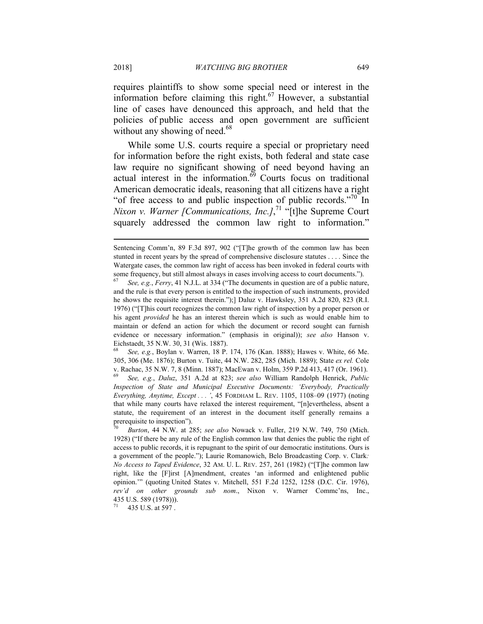requires plaintiffs to show some special need or interest in the information before claiming this right.<sup>67</sup> However, a substantial line of cases have denounced this approach, and held that the policies of public access and open government are sufficient without any showing of need. $68$ 

While some U.S. courts require a special or proprietary need for information before the right exists, both federal and state case law require no significant showing of need beyond having an actual interest in the information. $69$  Courts focus on traditional American democratic ideals, reasoning that all citizens have a right "of free access to and public inspection of public records."70 In *Nixon v. Warner [Communications, Inc.]*,<sup>71</sup> "[t]he Supreme Court squarely addressed the common law right to information."

<sup>68</sup> *See, e.g.*, Boylan v. Warren, 18 P. 174, 176 (Kan. 1888); Hawes v. White, 66 Me. 305, 306 (Me. 1876); Burton v. Tuite, 44 N.W. 282, 285 (Mich. 1889); State *ex rel.* Cole v. Rachac, 35 N.W. 7, 8 (Minn. 1887); MacEwan v. Holm, 359 P.2d 413, 417 (Or. 1961).

<sup>69</sup> *See, e.g.*, *Daluz*, 351 A.2d at 823; *see also* William Randolph Henrick, *Public Inspection of State and Municipal Executive Documents: 'Everybody, Practically Everything, Anytime, Except . . . '*, 45 FORDHAM L. REV. 1105, 1108–09 (1977) (noting that while many courts have relaxed the interest requirement, "[n]evertheless, absent a statute, the requirement of an interest in the document itself generally remains a prerequisite to inspection").

435 U.S. at 597.

1

Sentencing Comm'n, 89 F.3d 897, 902 ("[T]he growth of the common law has been stunted in recent years by the spread of comprehensive disclosure statutes . . . . Since the Watergate cases, the common law right of access has been invoked in federal courts with some frequency, but still almost always in cases involving access to court documents.").

<sup>67</sup> *See, e.g.*, *Ferry*, 41 N.J.L. at 334 ("The documents in question are of a public nature, and the rule is that every person is entitled to the inspection of such instruments, provided he shows the requisite interest therein.");] Daluz v. Hawksley, 351 A.2d 820, 823 (R.I. 1976) ("[T]his court recognizes the common law right of inspection by a proper person or his agent *provided* he has an interest therein which is such as would enable him to maintain or defend an action for which the document or record sought can furnish evidence or necessary information." (emphasis in original)); *see also* Hanson v. Eichstaedt, 35 N.W. 30, 31 (Wis. 1887).

<sup>70</sup> *Burton*, 44 N.W. at 285; *see also* Nowack v. Fuller, 219 N.W. 749, 750 (Mich. 1928) ("If there be any rule of the English common law that denies the public the right of access to public records, it is repugnant to the spirit of our democratic institutions. Ours is a government of the people."); Laurie Romanowich, Belo Broadcasting Corp. v. Clark*: No Access to Taped Evidence*, 32 AM. U. L. REV. 257, 261 (1982) ("[T]he common law right, like the [F]irst [A]mendment, creates 'an informed and enlightened public opinion.'" (quoting United States v. Mitchell, 551 F.2d 1252, 1258 (D.C. Cir. 1976), *rev'd on other grounds sub nom*., Nixon v. Warner Commc'ns, Inc., 435 U.S. 589 (1978))).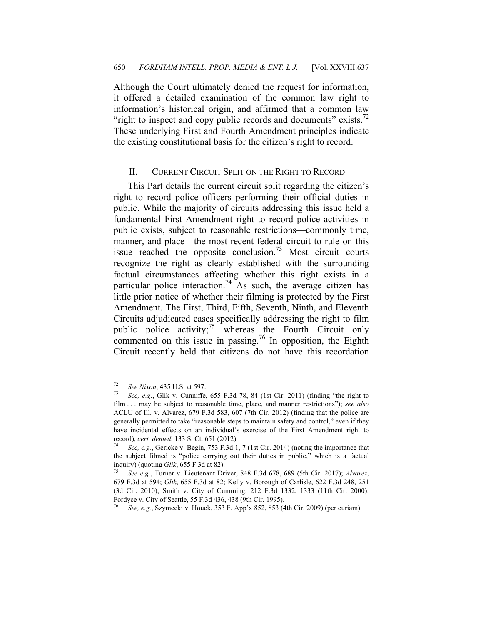Although the Court ultimately denied the request for information, it offered a detailed examination of the common law right to information's historical origin, and affirmed that a common law "right to inspect and copy public records and documents" exists. $\frac{72}{1}$ These underlying First and Fourth Amendment principles indicate the existing constitutional basis for the citizen's right to record.

#### II. CURRENT CIRCUIT SPLIT ON THE RIGHT TO RECORD

This Part details the current circuit split regarding the citizen's right to record police officers performing their official duties in public. While the majority of circuits addressing this issue held a fundamental First Amendment right to record police activities in public exists, subject to reasonable restrictions—commonly time, manner, and place—the most recent federal circuit to rule on this issue reached the opposite conclusion.<sup>73</sup> Most circuit courts recognize the right as clearly established with the surrounding factual circumstances affecting whether this right exists in a particular police interaction.<sup>74</sup> As such, the average citizen has little prior notice of whether their filming is protected by the First Amendment. The First, Third, Fifth, Seventh, Ninth, and Eleventh Circuits adjudicated cases specifically addressing the right to film public police activity;<sup>75</sup> whereas the Fourth Circuit only commented on this issue in passing.<sup>76</sup> In opposition, the Eighth Circuit recently held that citizens do not have this recordation

 $72$ 

<sup>&</sup>lt;sup>72</sup> See Nixon, 435 U.S. at 597.<br><sup>73</sup> See, e.g., Glik v. Cunniffe, 655 F.3d 78, 84 (1st Cir. 2011) (finding "the right to film . . . may be subject to reasonable time, place, and manner restrictions"); *see also*  ACLU of Ill. v. Alvarez, 679 F.3d 583, 607 (7th Cir. 2012) (finding that the police are generally permitted to take "reasonable steps to maintain safety and control," even if they have incidental effects on an individual's exercise of the First Amendment right to record), *cert. denied*, 133 S. Ct. 651 (2012).<br><sup>74</sup> See, e.g., Gericke v. Begin, 753 F.3d 1, 7 (1st Cir. 2014) (noting the importance that

the subject filmed is "police carrying out their duties in public," which is a factual inquiry) (quoting *Glik*, 655 F.3d at 82). 75 *See e.g.*, Turner v. Lieutenant Driver, 848 F.3d 678, 689 (5th Cir. 2017); *Alvarez*,

<sup>679</sup> F.3d at 594; *Glik*, 655 F.3d at 82; Kelly v. Borough of Carlisle, 622 F.3d 248, 251 (3d Cir. 2010); Smith v. City of Cumming, 212 F.3d 1332, 1333 (11th Cir. 2000); Fordyce v. City of Seattle, 55 F.3d 436, 438 (9th Cir. 1995).

<sup>76</sup> *See, e.g.*, Szymecki v. Houck, 353 F. App'x 852, 853 (4th Cir. 2009) (per curiam).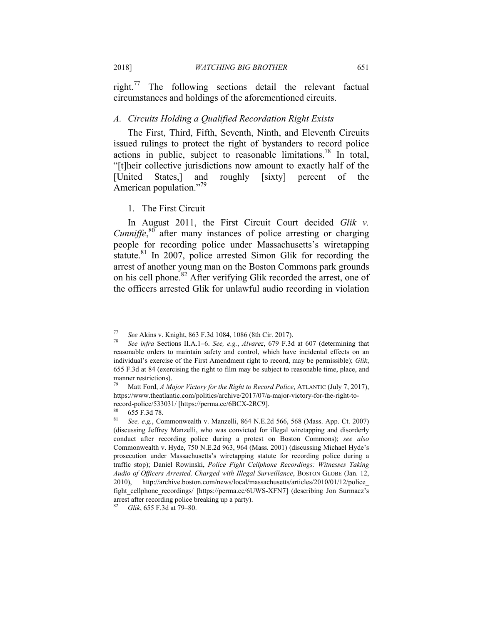right.77 The following sections detail the relevant factual circumstances and holdings of the aforementioned circuits.

#### *A. Circuits Holding a Qualified Recordation Right Exists*

The First, Third, Fifth, Seventh, Ninth, and Eleventh Circuits issued rulings to protect the right of bystanders to record police actions in public, subject to reasonable limitations.<sup>78</sup> In total, "[t]heir collective jurisdictions now amount to exactly half of the [United States,] and roughly [sixty] percent of the American population."<sup>79</sup>

#### 1. The First Circuit

In August 2011, the First Circuit Court decided *Glik v. Cunniffe*,<sup>80</sup> after many instances of police arresting or charging people for recording police under Massachusetts's wiretapping statute.<sup>81</sup> In 2007, police arrested Simon Glik for recording the arrest of another young man on the Boston Commons park grounds on his cell phone.<sup>82</sup> After verifying Glik recorded the arrest, one of the officers arrested Glik for unlawful audio recording in violation

<sup>77</sup> *See* Akins v. Knight, 863 F.3d 1084, 1086 (8th Cir. 2017). 78 *See infra* Sections II.A.1–6. *See, e.g.*, *Alvarez*, 679 F.3d at 607 (determining that reasonable orders to maintain safety and control, which have incidental effects on an individual's exercise of the First Amendment right to record, may be permissible); *Glik*, 655 F.3d at 84 (exercising the right to film may be subject to reasonable time, place, and manner restrictions).

<sup>79</sup> Matt Ford, *A Major Victory for the Right to Record Police*, ATLANTIC (July 7, 2017), https://www.theatlantic.com/politics/archive/2017/07/a-major-victory-for-the-right-torecord-police/533031/ [https://perma.cc/6BCX-2RC9].

 $\frac{80}{81}$  655 F.3d 78.

<sup>81</sup> *See, e.g.*, Commonwealth v. Manzelli, 864 N.E.2d 566, 568 (Mass. App. Ct. 2007) (discussing Jeffrey Manzelli, who was convicted for illegal wiretapping and disorderly conduct after recording police during a protest on Boston Commons); *see also*  Commonwealth v. Hyde, 750 N.E.2d 963, 964 (Mass. 2001) (discussing Michael Hyde's prosecution under Massachusetts's wiretapping statute for recording police during a traffic stop); Daniel Rowinski, *Police Fight Cellphone Recordings: Witnesses Taking Audio of Officers Arrested, Charged with Illegal Surveillance*, BOSTON GLOBE (Jan. 12, 2010), http://archive.boston.com/news/local/massachusetts/articles/2010/01/12/police\_ fight\_cellphone\_recordings/ [https://perma.cc/6UWS-XFN7] (describing Jon Surmacz's arrest after recording police breaking up a party).

<sup>82</sup> *Glik*, 655 F.3d at 79–80.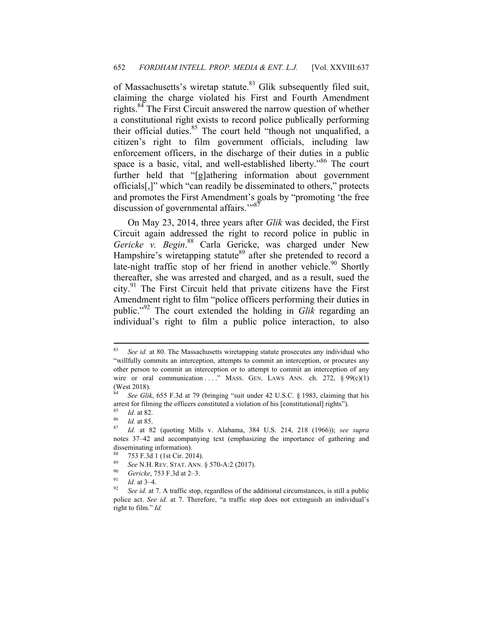of Massachusetts's wiretap statute.<sup>83</sup> Glik subsequently filed suit, claiming the charge violated his First and Fourth Amendment rights.84 The First Circuit answered the narrow question of whether a constitutional right exists to record police publically performing their official duties. $85$  The court held "though not unqualified, a citizen's right to film government officials, including law enforcement officers, in the discharge of their duties in a public space is a basic, vital, and well-established liberty.<sup>86</sup> The court further held that "[g]athering information about government officials[,]" which "can readily be disseminated to others," protects and promotes the First Amendment's goals by "promoting 'the free discussion of governmental affairs."<sup>8</sup>

On May 23, 2014, three years after *Glik* was decided, the First Circuit again addressed the right to record police in public in *Gericke v. Begin*. 88 Carla Gericke, was charged under New Hampshire's wiretapping statute<sup>89</sup> after she pretended to record a late-night traffic stop of her friend in another vehicle.<sup>90</sup> Shortly thereafter, she was arrested and charged, and as a result, sued the city.91 The First Circuit held that private citizens have the First Amendment right to film "police officers performing their duties in public."92 The court extended the holding in *Glik* regarding an individual's right to film a public police interaction, to also

<sup>83</sup> See *id.* at 80. The Massachusetts wiretapping statute prosecutes any individual who "willfully commits an interception, attempts to commit an interception, or procures any other person to commit an interception or to attempt to commit an interception of any wire or oral communication . . . . " MASS. GEN. LAWS ANN. ch. 272,  $\S 99(c)(1)$ (West 2018).

<sup>84</sup> *See Glik*, 655 F.3d at 79 (bringing "suit under 42 U.S.C. § 1983, claiming that his arrest for filming the officers constituted a violation of his [constitutional] rights").

<sup>85</sup> *Id.* at 82. 86 *Id.* at 85. 87 *Id.* at 82 (quoting Mills v. Alabama, 384 U.S. 214, 218 (1966)); *see supra* notes 37–42 and accompanying text (emphasizing the importance of gathering and disseminating information).

 $^{88}$  753 F.3d 1 (1st Cir. 2014).

<sup>89</sup> See N.H. REV. STAT. ANN. § 570-A:2 (2017).<br><sup>90</sup> Gericke, 753 F.3d at 2–3.<br><sup>91</sup> *Id.* at 3–4.<br><sup>92</sup> See id. at 7. A traffic stop, regardless of the additional circumstances, is still a public police act. *See id.* at 7. Therefore, "a traffic stop does not extinguish an individual's right to film." *Id.*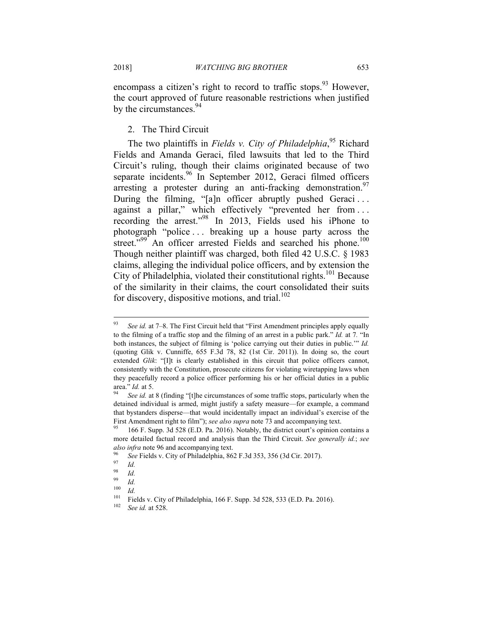encompass a citizen's right to record to traffic stops.<sup>93</sup> However, the court approved of future reasonable restrictions when justified by the circumstances.<sup>94</sup>

#### 2. The Third Circuit

The two plaintiffs in *Fields v. City of Philadelphia*, 95 Richard Fields and Amanda Geraci, filed lawsuits that led to the Third Circuit's ruling, though their claims originated because of two separate incidents.<sup>96</sup> In September 2012, Geraci filmed officers arresting a protester during an anti-fracking demonstration.<sup>97</sup> During the filming, "[a]n officer abruptly pushed Geraci... against a pillar," which effectively "prevented her from ... recording the arrest."98 In 2013, Fields used his iPhone to photograph "police . . . breaking up a house party across the street."<sup>99</sup> An officer arrested Fields and searched his phone.<sup>100</sup> Though neither plaintiff was charged, both filed 42 U.S.C. § 1983 claims, alleging the individual police officers, and by extension the City of Philadelphia, violated their constitutional rights.<sup>101</sup> Because of the similarity in their claims, the court consolidated their suits for discovery, dispositive motions, and trial. $102$ 

<sup>93</sup> See id. at 7–8. The First Circuit held that "First Amendment principles apply equally to the filming of a traffic stop and the filming of an arrest in a public park." *Id.* at 7*.* "In both instances, the subject of filming is 'police carrying out their duties in public.'" *Id.*  (quoting Glik v. Cunniffe, 655 F.3d 78, 82 (1st Cir. 2011)). In doing so, the court extended *Glik*: "[I]t is clearly established in this circuit that police officers cannot, consistently with the Constitution, prosecute citizens for violating wiretapping laws when they peacefully record a police officer performing his or her official duties in a public area." *Id.* at 5.<br><sup>94</sup> See id. at 8 (finding "[t]he circumstances of some traffic stops, particularly when the

detained individual is armed, might justify a safety measure—for example, a command that bystanders disperse—that would incidentally impact an individual's exercise of the First Amendment right to film"); *see also supra* note 73 and accompanying text.<br><sup>95</sup> 166 F. Supp. 3d 528 (E.D. Pa. 2016). Notably, the district court's opinion contains a

more detailed factual record and analysis than the Third Circuit. *See generally id.*; *see* 

*also infra* note 96 and accompanying text.<br><sup>96</sup> See Fields v. City of Philadelphia, 862 F.3d 353, 356 (3d Cir. 2017).<br><sup>97</sup> Id.

 $\frac{98}{99}$  *Id.* 

 $\frac{99}{100}$  *Id.* 

 $\frac{100}{101}$  *Id.* 

<sup>101</sup> Fields v. City of Philadelphia, 166 F. Supp. 3d 528, 533 (E.D. Pa. 2016). 102 *See id.* at 528.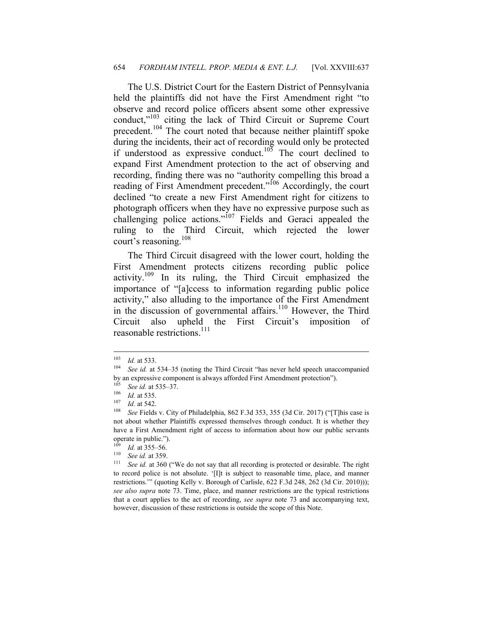The U.S. District Court for the Eastern District of Pennsylvania held the plaintiffs did not have the First Amendment right "to observe and record police officers absent some other expressive conduct,"<sup>103</sup> citing the lack of Third Circuit or Supreme Court precedent.104 The court noted that because neither plaintiff spoke during the incidents, their act of recording would only be protected if understood as expressive conduct.<sup>105</sup> The court declined to expand First Amendment protection to the act of observing and recording, finding there was no "authority compelling this broad a reading of First Amendment precedent."106 Accordingly, the court declined "to create a new First Amendment right for citizens to photograph officers when they have no expressive purpose such as challenging police actions."<sup>107</sup> Fields and Geraci appealed the ruling to the Third Circuit, which rejected the lower court's reasoning.<sup>108</sup>

The Third Circuit disagreed with the lower court, holding the First Amendment protects citizens recording public police activity.<sup>109</sup> In its ruling, the Third Circuit emphasized the importance of "[a]ccess to information regarding public police activity," also alluding to the importance of the First Amendment in the discussion of governmental affairs. $110$  However, the Third Circuit also upheld the First Circuit's imposition reasonable restrictions.<sup>111</sup>

<sup>103</sup> 

<sup>103</sup> *Id.* at 533. 104 *See id.* at 534–35 (noting the Third Circuit "has never held speech unaccompanied by an expressive component is always afforded First Amendment protection").

<sup>105</sup> See id. at 535–37.<br>
106 *Id.* at 535.<br>
107 *Id.* at 542.<br>
108*See Fields v. City of Philadelphia, 862 F.3d 353, 355 (3d Cir. 2017) ("[T]his case is* not about whether Plaintiffs expressed themselves through conduct. It is whether they have a First Amendment right of access to information about how our public servants operate in public.").

<sup>&</sup>lt;sup>109</sup> *Id.* at 355–56.<br><sup>110</sup> See id. at 359.<br><sup>111</sup> See id. at 360 ("We do not say that all recording is protected or desirable. The right to record police is not absolute. '[I]t is subject to reasonable time, place, and manner restrictions.'" (quoting Kelly v. Borough of Carlisle, 622 F.3d 248, 262 (3d Cir. 2010))); *see also supra* note 73. Time, place, and manner restrictions are the typical restrictions that a court applies to the act of recording, *see supra* note 73 and accompanying text, however, discussion of these restrictions is outside the scope of this Note.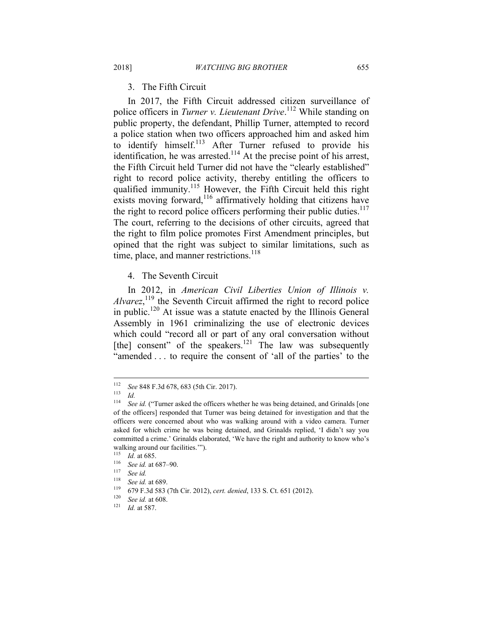3. The Fifth Circuit

In 2017, the Fifth Circuit addressed citizen surveillance of police officers in *Turner v. Lieutenant Drive*. 112 While standing on public property, the defendant, Phillip Turner, attempted to record a police station when two officers approached him and asked him to identify himself.<sup>113</sup> After Turner refused to provide his identification, he was arrested.<sup>114</sup> At the precise point of his arrest, the Fifth Circuit held Turner did not have the "clearly established" right to record police activity, thereby entitling the officers to qualified immunity.<sup>115</sup> However, the Fifth Circuit held this right exists moving forward, $116$  affirmatively holding that citizens have the right to record police officers performing their public duties. $117$ The court, referring to the decisions of other circuits, agreed that the right to film police promotes First Amendment principles, but opined that the right was subject to similar limitations, such as time, place, and manner restrictions.<sup>118</sup>

4. The Seventh Circuit

In 2012, in *American Civil Liberties Union of Illinois v.*   $\lambda$ *lvarez*,<sup>119</sup> the Seventh Circuit affirmed the right to record police in public.120 At issue was a statute enacted by the Illinois General Assembly in 1961 criminalizing the use of electronic devices which could "record all or part of any oral conversation without [the] consent" of the speakers.<sup>121</sup> The law was subsequently "amended . . . to require the consent of 'all of the parties' to the

<sup>112</sup> <sup>112</sup> *See* 848 F.3d 678, 683 (5th Cir. 2017). 113 *Id.* 

See id. ("Turner asked the officers whether he was being detained, and Grinalds [one of the officers] responded that Turner was being detained for investigation and that the officers were concerned about who was walking around with a video camera. Turner asked for which crime he was being detained, and Grinalds replied, 'I didn't say you committed a crime.' Grinalds elaborated, 'We have the right and authority to know who's walking around our facilities."").<br> $^{115}$   $H \text{ at } 695$ 

<sup>115</sup> *Id.* at 685. 116 *See id.* at 687–90. 117 *See id.*

<sup>118</sup> *See id.* at 689. 119 679 F.3d 583 (7th Cir. 2012), *cert. denied*, 133 S. Ct. 651 (2012). 120 *See id.* at 608. 121 *Id.* at 587.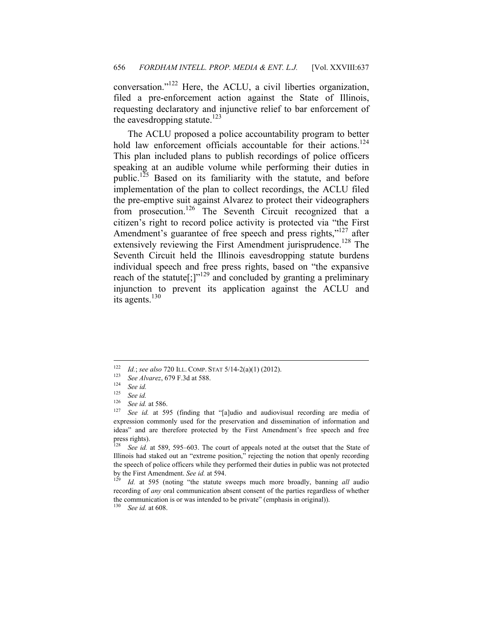conversation."122 Here, the ACLU, a civil liberties organization, filed a pre-enforcement action against the State of Illinois, requesting declaratory and injunctive relief to bar enforcement of the eavesdropping statute.<sup>123</sup>

The ACLU proposed a police accountability program to better hold law enforcement officials accountable for their actions.<sup>124</sup> This plan included plans to publish recordings of police officers speaking at an audible volume while performing their duties in public.<sup>125</sup> Based on its familiarity with the statute, and before implementation of the plan to collect recordings, the ACLU filed the pre-emptive suit against Alvarez to protect their videographers from prosecution.<sup>126</sup> The Seventh Circuit recognized that a citizen's right to record police activity is protected via "the First Amendment's guarantee of free speech and press rights,"<sup>127</sup> after extensively reviewing the First Amendment jurisprudence.<sup>128</sup> The Seventh Circuit held the Illinois eavesdropping statute burdens individual speech and free press rights, based on "the expansive reach of the statute[;] $v^{129}$  and concluded by granting a preliminary injunction to prevent its application against the ACLU and its agents. $130$ 

<sup>130</sup> *See id.* at 608.

<sup>122</sup> 1<sup>22</sup> *Id.*; *see also* 720 ILL. COMP. STAT 5/14-2(a)(1) (2012).<br>
<sup>123</sup> *See Alvarez*, 679 F.3d at 588.<br>
<sup>124</sup> *See id.*<br>
<sup>125</sup> See id.

 $\frac{125}{126}$  *See id.* 

<sup>&</sup>lt;sup>126</sup> See id. at 586.<br><sup>127</sup> See id. at 595 (finding that "[a]udio and audiovisual recording are media of expression commonly used for the preservation and dissemination of information and ideas" and are therefore protected by the First Amendment's free speech and free press rights).

See id. at 589, 595–603. The court of appeals noted at the outset that the State of Illinois had staked out an "extreme position," rejecting the notion that openly recording the speech of police officers while they performed their duties in public was not protected by the First Amendment. *See id.* at 594. 129 *Id.* at 595 (noting "the statute sweeps much more broadly, banning *all* audio

recording of *any* oral communication absent consent of the parties regardless of whether the communication is or was intended to be private" (emphasis in original)).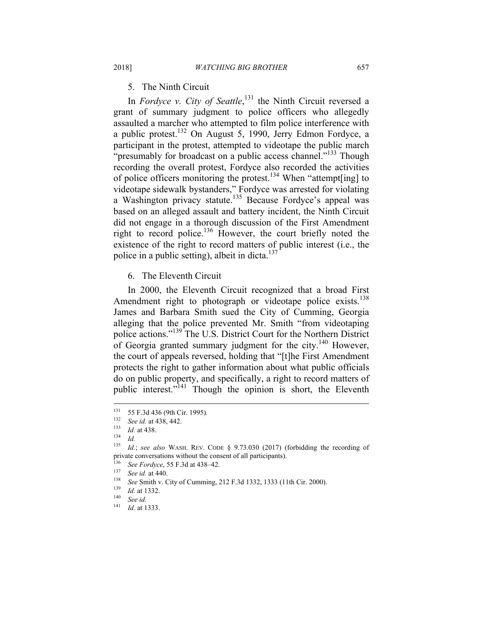5. The Ninth Circuit

In *Fordyce v. City of Seattle*,<sup>131</sup> the Ninth Circuit reversed a grant of summary judgment to police officers who allegedly assaulted a marcher who attempted to film police interference with a public protest.132 On August 5, 1990, Jerry Edmon Fordyce, a participant in the protest, attempted to videotape the public march "presumably for broadcast on a public access channel."<sup>133</sup> Though recording the overall protest, Fordyce also recorded the activities of police officers monitoring the protest.<sup>134</sup> When "attempt[ing] to videotape sidewalk bystanders," Fordyce was arrested for violating a Washington privacy statute.<sup>135</sup> Because Fordyce's appeal was based on an alleged assault and battery incident, the Ninth Circuit did not engage in a thorough discussion of the First Amendment right to record police.136 However, the court briefly noted the existence of the right to record matters of public interest (i.e., the police in a public setting), albeit in dicta. $137$ 

6. The Eleventh Circuit

In 2000, the Eleventh Circuit recognized that a broad First Amendment right to photograph or videotape police exists.<sup>138</sup> James and Barbara Smith sued the City of Cumming, Georgia alleging that the police prevented Mr. Smith "from videotaping police actions."139 The U.S. District Court for the Northern District of Georgia granted summary judgment for the city.<sup>140</sup> However, the court of appeals reversed, holding that "[t]he First Amendment protects the right to gather information about what public officials do on public property, and specifically, a right to record matters of public interest."141 Though the opinion is short, the Eleventh

<sup>131</sup> <sup>131</sup> 55 F.3d 436 (9th Cir. 1995).<br><sup>132</sup> See id, at 438, 442

<sup>132</sup> *See id.* at 438, 442. 133 *Id.* at 438. 134 *Id.*

Id.; see also WASH. REV. CODE § 9.73.030 (2017) (forbidding the recording of private conversations without the consent of all participants).

<sup>136</sup> See Fordyce, 55 F.3d at 438–42.<br>
137 See id. at 440.<br>
138 See Smith v. City of Cumming, 212 F.3d 1332, 1333 (11th Cir. 2000).<br> *Id.* at 1332.<br>
140 See id.<br>
141<br>
141

*Id.* at 1333.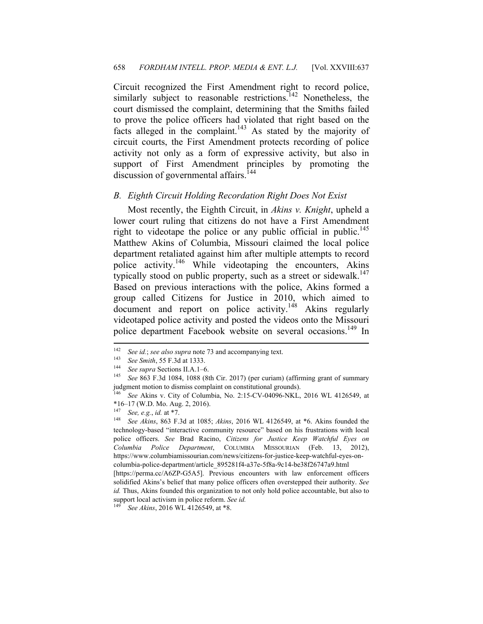Circuit recognized the First Amendment right to record police, similarly subject to reasonable restrictions.<sup>142</sup> Nonetheless, the court dismissed the complaint, determining that the Smiths failed to prove the police officers had violated that right based on the facts alleged in the complaint.<sup>143</sup> As stated by the majority of circuit courts, the First Amendment protects recording of police activity not only as a form of expressive activity, but also in support of First Amendment principles by promoting the discussion of governmental affairs.<sup>144</sup>

#### *B. Eighth Circuit Holding Recordation Right Does Not Exist*

Most recently, the Eighth Circuit, in *Akins v. Knight*, upheld a lower court ruling that citizens do not have a First Amendment right to videotape the police or any public official in public.<sup>145</sup> Matthew Akins of Columbia, Missouri claimed the local police department retaliated against him after multiple attempts to record police activity.146 While videotaping the encounters, Akins typically stood on public property, such as a street or sidewalk.<sup>147</sup> Based on previous interactions with the police, Akins formed a group called Citizens for Justice in 2010, which aimed to document and report on police activity.148 Akins regularly videotaped police activity and posted the videos onto the Missouri police department Facebook website on several occasions.<sup>149</sup> In

<sup>142</sup> <sup>142</sup> *See id.*; *see also supra* note 73 and accompanying text. 143 *See Smith*, 55 F.3d at 1333.

<sup>&</sup>lt;sup>144</sup> See supra Sections II.A.1–6.<br><sup>145</sup> See 863 F.3d 1084, 1088 (8th Cir. 2017) (per curiam) (affirming grant of summary judgment motion to dismiss complaint on constitutional grounds).<br> $^{146}$  See Akine v City of Columbia No. 2:15-CV-04096-NKL

<sup>146</sup> *See* Akins v. City of Columbia, No. 2:15-CV-04096-NKL, 2016 WL 4126549, at  $*16-17$  (W.D. Mo. Aug. 2, 2016).

<sup>147</sup> *See, e.g.*, *id.* at \*7.

<sup>148</sup> *See Akins*, 863 F.3d at 1085; *Akins*, 2016 WL 4126549, at \*6. Akins founded the technology-based "interactive community resource" based on his frustrations with local police officers. *See* Brad Racino, *Citizens for Justice Keep Watchful Eyes on Columbia Police Department*, COLUMBIA MISSOURIAN (Feb. 13, 2012), https://www.columbiamissourian.com/news/citizens-for-justice-keep-watchful-eyes-oncolumbia-police-department/article\_895281f4-a37e-5f8a-9c14-be38f26747a9.html

<sup>[</sup>https://perma.cc/A6ZP-G5A5]. Previous encounters with law enforcement officers solidified Akins's belief that many police officers often overstepped their authority. *See id.* Thus, Akins founded this organization to not only hold police accountable, but also to support local activism in police reform. *See id.*

<sup>149</sup> *See Akins*, 2016 WL 4126549, at \*8.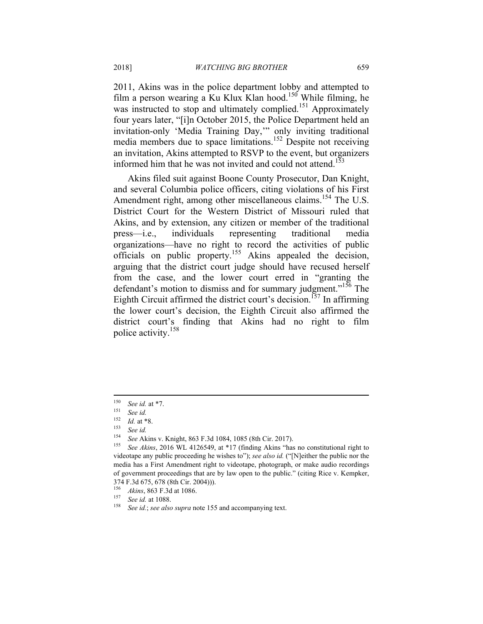2011, Akins was in the police department lobby and attempted to film a person wearing a Ku Klux Klan hood.<sup>150</sup> While filming, he was instructed to stop and ultimately complied.<sup>151</sup> Approximately four years later, "[i]n October 2015, the Police Department held an invitation-only 'Media Training Day,'" only inviting traditional media members due to space limitations.<sup>152</sup> Despite not receiving an invitation, Akins attempted to RSVP to the event, but organizers informed him that he was not invited and could not attend.<sup>153</sup>

Akins filed suit against Boone County Prosecutor, Dan Knight, and several Columbia police officers, citing violations of his First Amendment right, among other miscellaneous claims.<sup>154</sup> The U.S. District Court for the Western District of Missouri ruled that Akins, and by extension, any citizen or member of the traditional press—i.e., individuals representing traditional media organizations—have no right to record the activities of public officials on public property.155 Akins appealed the decision, arguing that the district court judge should have recused herself from the case, and the lower court erred in "granting the defendant's motion to dismiss and for summary judgment."<sup>156</sup> The Eighth Circuit affirmed the district court's decision.<sup>157</sup> In affirming the lower court's decision, the Eighth Circuit also affirmed the district court's finding that Akins had no right to film police activity.158

<sup>150</sup> <sup>150</sup> *See id.* at \*7. 151 *See id.* 

<sup>152</sup> *Id.* at \*8. 153 *See id.* 

<sup>154</sup> *See* Akins v. Knight, 863 F.3d 1084, 1085 (8th Cir. 2017). 155 *See Akins*, 2016 WL 4126549, at \*17 (finding Akins "has no constitutional right to videotape any public proceeding he wishes to"); *see also id.* ("[N]either the public nor the media has a First Amendment right to videotape, photograph, or make audio recordings of government proceedings that are by law open to the public." (citing Rice v. Kempker, 374 F.3d 675, 678 (8th Cir. 2004))).

<sup>&</sup>lt;sup>156</sup> *Akins*, 863 F.3d at 1086.<br><sup>157</sup> See id. at 1088.<br><sup>158</sup> See id.; *see also supra* note 155 and accompanying text.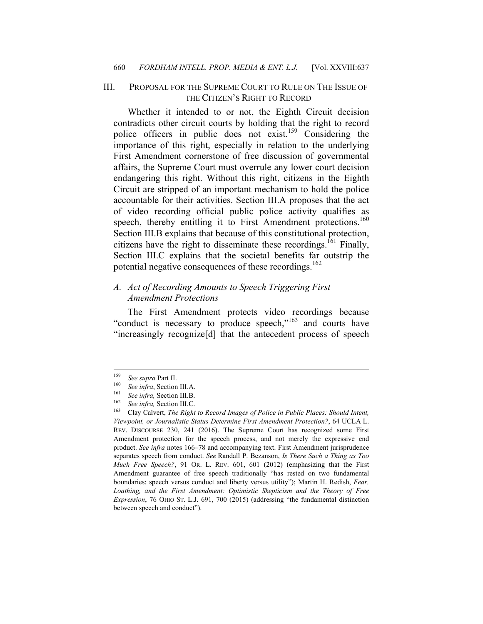## III. PROPOSAL FOR THE SUPREME COURT TO RULE ON THE ISSUE OF THE CITIZEN'S RIGHT TO RECORD

Whether it intended to or not, the Eighth Circuit decision contradicts other circuit courts by holding that the right to record police officers in public does not exist.<sup>159</sup> Considering the importance of this right, especially in relation to the underlying First Amendment cornerstone of free discussion of governmental affairs, the Supreme Court must overrule any lower court decision endangering this right. Without this right, citizens in the Eighth Circuit are stripped of an important mechanism to hold the police accountable for their activities. Section III.A proposes that the act of video recording official public police activity qualifies as speech, thereby entitling it to First Amendment protections.<sup>160</sup> Section III.B explains that because of this constitutional protection, citizens have the right to disseminate these recordings.<sup>161</sup> Finally, Section III.C explains that the societal benefits far outstrip the potential negative consequences of these recordings.<sup>162</sup>

# *A. Act of Recording Amounts to Speech Triggering First Amendment Protections*

The First Amendment protects video recordings because "conduct is necessary to produce speech,"163 and courts have "increasingly recognize[d] that the antecedent process of speech

<sup>159</sup> 

<sup>&</sup>lt;sup>159</sup> See supra Part II.<br>
<sup>160</sup> See infra, Section III.A.<br>
<sup>161</sup> See infra, Section III.B.<br>
<sup>162</sup> See infra, Section III.C.<br>
<sup>162</sup> Clay Calvert, *The Right to Record Images of Police in Public Places: Should Intent, Viewpoint, or Journalistic Status Determine First Amendment Protection?*, 64 UCLA L. REV. DISCOURSE 230, 241 (2016). The Supreme Court has recognized some First Amendment protection for the speech process, and not merely the expressive end product. *See infra* notes 166–78 and accompanying text. First Amendment jurisprudence separates speech from conduct. *See* Randall P. Bezanson, *Is There Such a Thing as Too Much Free Speech?*, 91 OR. L. REV. 601, 601 (2012) (emphasizing that the First Amendment guarantee of free speech traditionally "has rested on two fundamental boundaries: speech versus conduct and liberty versus utility"); Martin H. Redish, *Fear, Loathing, and the First Amendment: Optimistic Skepticism and the Theory of Free Expression*, 76 OHIO ST. L.J. 691, 700 (2015) (addressing "the fundamental distinction between speech and conduct").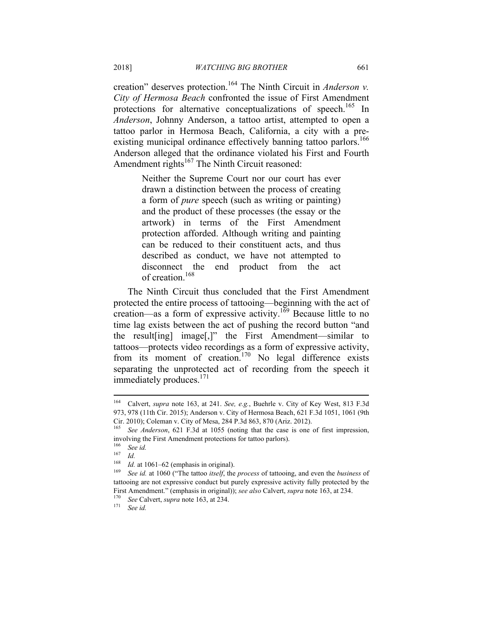creation" deserves protection.164 The Ninth Circuit in *Anderson v. City of Hermosa Beach* confronted the issue of First Amendment protections for alternative conceptualizations of speech.<sup>165</sup> In *Anderson*, Johnny Anderson, a tattoo artist, attempted to open a tattoo parlor in Hermosa Beach, California, a city with a preexisting municipal ordinance effectively banning tattoo parlors.<sup>166</sup> Anderson alleged that the ordinance violated his First and Fourth Amendment rights<sup>167</sup> The Ninth Circuit reasoned:

> Neither the Supreme Court nor our court has ever drawn a distinction between the process of creating a form of *pure* speech (such as writing or painting) and the product of these processes (the essay or the artwork) in terms of the First Amendment protection afforded. Although writing and painting can be reduced to their constituent acts, and thus described as conduct, we have not attempted to disconnect the end product from the act of creation.<sup>168</sup>

The Ninth Circuit thus concluded that the First Amendment protected the entire process of tattooing—beginning with the act of creation—as a form of expressive activity.<sup>169</sup> Because little to no time lag exists between the act of pushing the record button "and the result[ing] image[,]" the First Amendment—similar to tattoos—protects video recordings as a form of expressive activity, from its moment of creation.<sup>170</sup> No legal difference exists separating the unprotected act of recording from the speech it immediately produces.<sup>171</sup>

<sup>164</sup> 164 Calvert, *supra* note 163, at 241. *See, e.g.*, Buehrle v. City of Key West, 813 F.3d 973, 978 (11th Cir. 2015); Anderson v. City of Hermosa Beach, 621 F.3d 1051, 1061 (9th Cir. 2010); Coleman v. City of Mesa, 284 P.3d 863, 870 (Ariz. 2012).

See *Anderson*, 621 F.3d at 1055 (noting that the case is one of first impression, involving the First Amendment protections for tattoo parlors).

 $\frac{166}{167}$  *See id.* 

 $\frac{167}{168}$  *Id.* 

<sup>168</sup> *Id.* at 1061–62 (emphasis in original). 169 *See id.* at 1060 ("The tattoo *itself*, the *process* of tattooing, and even the *business* of tattooing are not expressive conduct but purely expressive activity fully protected by the First Amendment." (emphasis in original)); *see also* Calvert, *supra* note 163, at 234.

<sup>170</sup> *See* Calvert, *supra* note 163, at 234. 171 *See id.*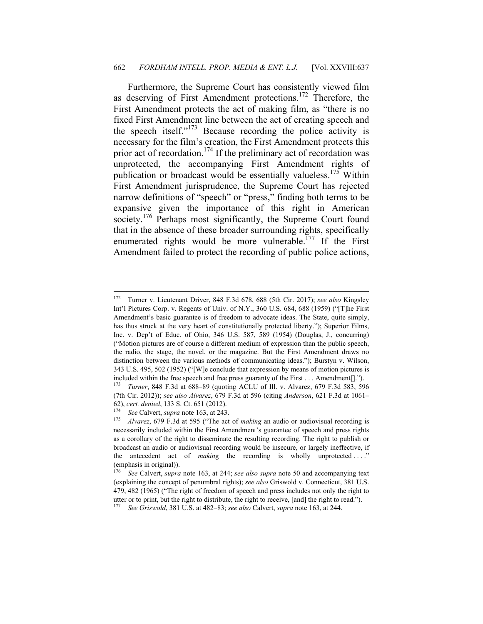Furthermore, the Supreme Court has consistently viewed film as deserving of First Amendment protections.172 Therefore, the First Amendment protects the act of making film, as "there is no fixed First Amendment line between the act of creating speech and the speech itself."173 Because recording the police activity is necessary for the film's creation, the First Amendment protects this prior act of recordation.<sup>174</sup> If the preliminary act of recordation was unprotected, the accompanying First Amendment rights of publication or broadcast would be essentially valueless.<sup>175</sup> Within First Amendment jurisprudence, the Supreme Court has rejected narrow definitions of "speech" or "press," finding both terms to be expansive given the importance of this right in American society.<sup>176</sup> Perhaps most significantly, the Supreme Court found that in the absence of these broader surrounding rights, specifically enumerated rights would be more vulnerable.<sup>177</sup> If the First Amendment failed to protect the recording of public police actions,

<sup>172</sup> 172 Turner v. Lieutenant Driver, 848 F.3d 678, 688 (5th Cir. 2017); *see also* Kingsley Int'l Pictures Corp. v. Regents of Univ. of N.Y., 360 U.S. 684, 688 (1959) ("[T]he First Amendment's basic guarantee is of freedom to advocate ideas. The State, quite simply, has thus struck at the very heart of constitutionally protected liberty."); Superior Films, Inc. v. Dep't of Educ. of Ohio, 346 U.S. 587, 589 (1954) (Douglas, J., concurring) ("Motion pictures are of course a different medium of expression than the public speech, the radio, the stage, the novel, or the magazine. But the First Amendment draws no distinction between the various methods of communicating ideas."); Burstyn v. Wilson, 343 U.S. 495, 502 (1952) ("[W]e conclude that expression by means of motion pictures is included within the free speech and free press guaranty of the First . . . Amendment[].").<br> $^{173}$  Turner, 848 E 3d at 688, 80 (quoting ACUL of Ill, y. Alvaraz, 670 E 3d 583, 50

<sup>173</sup> *Turner*, 848 F.3d at 688–89 (quoting ACLU of Ill. v. Alvarez, 679 F.3d 583, 596 (7th Cir. 2012)); *see also Alvarez*, 679 F.3d at 596 (citing *Anderson*, 621 F.3d at 1061– 62), *cert. denied*, 133 S. Ct. 651 (2012). 174 *See* Calvert, *supra* note 163, at 243. 175 *Alvarez*, 679 F.3d at 595 ("The act of *making* an audio or audiovisual recording is

necessarily included within the First Amendment's guarantee of speech and press rights as a corollary of the right to disseminate the resulting recording. The right to publish or broadcast an audio or audiovisual recording would be insecure, or largely ineffective, if the antecedent act of *making* the recording is wholly unprotected ...." (emphasis in original)).

<sup>176</sup> *See* Calvert, *supra* note 163, at 244; *see also supra* note 50 and accompanying text (explaining the concept of penumbral rights); *see also* Griswold v. Connecticut, 381 U.S. 479, 482 (1965) ("The right of freedom of speech and press includes not only the right to utter or to print, but the right to distribute, the right to receive, [and] the right to read."). 177 *See Griswold*, 381 U.S. at 482–83; *see also* Calvert, *supra* note 163, at 244.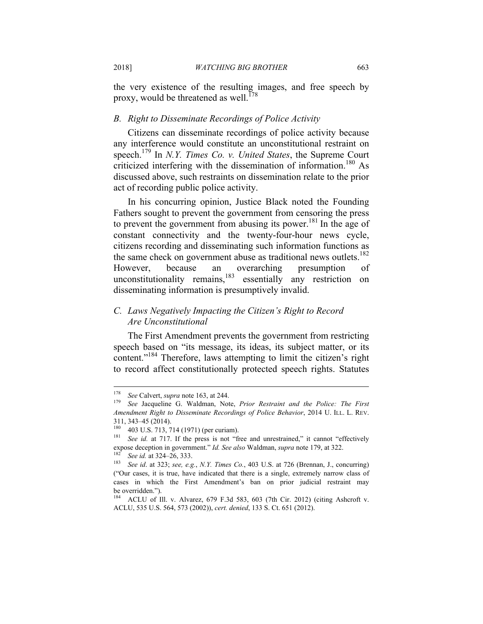the very existence of the resulting images, and free speech by proxy, would be threatened as well.<sup>178</sup>

#### *B. Right to Disseminate Recordings of Police Activity*

Citizens can disseminate recordings of police activity because any interference would constitute an unconstitutional restraint on speech.179 In *N.Y. Times Co. v. United States*, the Supreme Court criticized interfering with the dissemination of information.<sup>180</sup> As discussed above, such restraints on dissemination relate to the prior act of recording public police activity.

In his concurring opinion, Justice Black noted the Founding Fathers sought to prevent the government from censoring the press to prevent the government from abusing its power.<sup>181</sup> In the age of constant connectivity and the twenty-four-hour news cycle, citizens recording and disseminating such information functions as the same check on government abuse as traditional news outlets.<sup>182</sup> However, because an overarching presumption of unconstitutionality remains, $^{183}$  essentially any restriction on disseminating information is presumptively invalid.

# *C. Laws Negatively Impacting the Citizen's Right to Record Are Unconstitutional*

The First Amendment prevents the government from restricting speech based on "its message, its ideas, its subject matter, or its content."<sup>184</sup> Therefore, laws attempting to limit the citizen's right to record affect constitutionally protected speech rights. Statutes

<sup>178</sup> 

<sup>178</sup> *See* Calvert, *supra* note 163, at 244. 179 *See* Jacqueline G. Waldman, Note, *Prior Restraint and the Police: The First Amendment Right to Disseminate Recordings of Police Behavior*, 2014 U. ILL. L. REV. 311, 343–45 (2014).

<sup>&</sup>lt;sup>180</sup> 403 U.S. 713, 714 (1971) (per curiam).<br><sup>181</sup> *See id.* at 717. If the press is not "free and unrestrained," it cannot "effectively expose deception in government." *Id. See also* Waldman, *supra* note 179, at 322.<br><sup>182</sup> See id. at 324–26, 333.<br><sup>183</sup> See id. at 323; *see, e.g., N.Y. Times Co.*, 403 U.S. at 726 (Brennan, J., concurring)

<sup>(&</sup>quot;Our cases, it is true, have indicated that there is a single, extremely narrow class of cases in which the First Amendment's ban on prior judicial restraint may be overridden.").

<sup>184</sup> ACLU of Ill. v. Alvarez, 679 F.3d 583, 603 (7th Cir. 2012) (citing Ashcroft v. ACLU, 535 U.S. 564, 573 (2002)), *cert. denied*, 133 S. Ct. 651 (2012).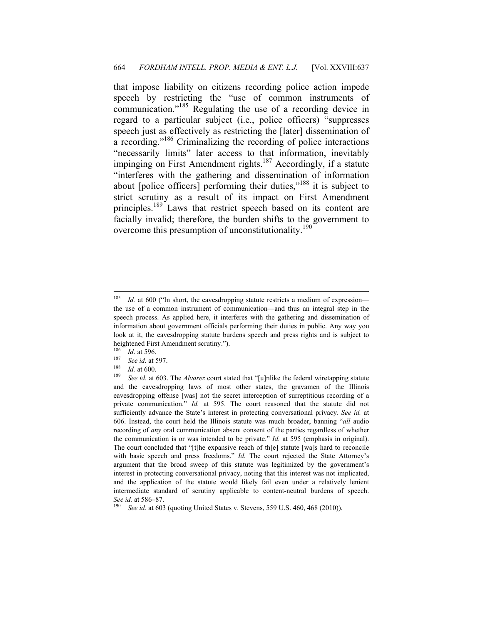that impose liability on citizens recording police action impede speech by restricting the "use of common instruments of communication."185 Regulating the use of a recording device in regard to a particular subject (i.e., police officers) "suppresses speech just as effectively as restricting the [later] dissemination of a recording."186 Criminalizing the recording of police interactions "necessarily limits" later access to that information, inevitably impinging on First Amendment rights.<sup>187</sup> Accordingly, if a statute "interferes with the gathering and dissemination of information about [police officers] performing their duties,"<sup>188</sup> it is subject to strict scrutiny as a result of its impact on First Amendment principles.<sup>189</sup> Laws that restrict speech based on its content are facially invalid; therefore, the burden shifts to the government to overcome this presumption of unconstitutionality.<sup>190</sup>

<sup>185</sup> Id. at 600 ("In short, the eavesdropping statute restricts a medium of expression the use of a common instrument of communication—and thus an integral step in the speech process. As applied here, it interferes with the gathering and dissemination of information about government officials performing their duties in public. Any way you look at it, the eavesdropping statute burdens speech and press rights and is subject to heightened First Amendment scrutiny.").

<sup>186</sup>*Id.* at 596.<br><sup>187</sup> See id. at 597.<br><sup>188</sup> *Id.* at 600.<br><sup>189</sup> See id. at 603. The *Alvarez* court stated that "[u]nlike the federal wiretapping statute and the eavesdropping laws of most other states, the gravamen of the Illinois eavesdropping offense [was] not the secret interception of surreptitious recording of a private communication." *Id.* at 595. The court reasoned that the statute did not sufficiently advance the State's interest in protecting conversational privacy. *See id.* at 606. Instead, the court held the Illinois statute was much broader, banning "*all* audio recording of *any* oral communication absent consent of the parties regardless of whether the communication is or was intended to be private." *Id.* at 595 (emphasis in original). The court concluded that "[t]he expansive reach of th[e] statute [wa]s hard to reconcile with basic speech and press freedoms." *Id.* The court rejected the State Attorney's argument that the broad sweep of this statute was legitimized by the government's interest in protecting conversational privacy, noting that this interest was not implicated, and the application of the statute would likely fail even under a relatively lenient intermediate standard of scrutiny applicable to content-neutral burdens of speech. *See id.* at 586–87.<br><sup>190</sup> *See id.* at 603 (quoting United States v. Stevens, 559 U.S. 460, 468 (2010)).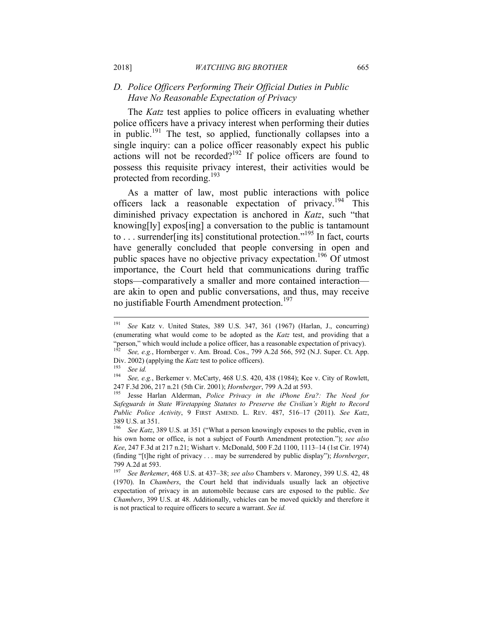# *D. Police Officers Performing Their Official Duties in Public Have No Reasonable Expectation of Privacy*

The *Katz* test applies to police officers in evaluating whether police officers have a privacy interest when performing their duties in public.<sup>191</sup> The test, so applied, functionally collapses into a single inquiry: can a police officer reasonably expect his public actions will not be recorded?192 If police officers are found to possess this requisite privacy interest, their activities would be protected from recording.<sup>193</sup>

As a matter of law, most public interactions with police officers lack a reasonable expectation of privacy.<sup>194</sup> This diminished privacy expectation is anchored in *Katz*, such "that knowing[ly] expos[ing] a conversation to the public is tantamount to . . . surrender[ing its] constitutional protection."<sup>195</sup> In fact, courts have generally concluded that people conversing in open and public spaces have no objective privacy expectation.<sup>196</sup> Of utmost importance, the Court held that communications during traffic stops—comparatively a smaller and more contained interaction are akin to open and public conversations, and thus, may receive no justifiable Fourth Amendment protection.<sup>197</sup>

<sup>191</sup> See Katz v. United States, 389 U.S. 347, 361 (1967) (Harlan, J., concurring) (enumerating what would come to be adopted as the *Katz* test, and providing that a "person," which would include a police officer, has a reasonable expectation of privacy).

See, e.g., Hornberger v. Am. Broad. Cos., 799 A.2d 566, 592 (N.J. Super. Ct. App. Div. 2002) (applying the *Katz* test to police officers).<br><sup>193</sup> See id.<br><sup>194</sup> See is a posterior in McCratis 468 U.S. 420

See, e.g., Berkemer v. McCarty, 468 U.S. 420, 438 (1984); Kee v. City of Rowlett, 247 F.3d 206, 217 n.21 (5th Cir. 2001); *Hornberger*, 799 A.2d at 593. 195 Jesse Harlan Alderman, *Police Privacy in the iPhone Era?: The Need for* 

*Safeguards in State Wiretapping Statutes to Preserve the Civilian's Right to Record Public Police Activity*, 9 FIRST AMEND. L. REV. 487, 516–17 (2011). *See Katz*, 389 U.S. at 351.

<sup>196</sup> *See Katz*, 389 U.S. at 351 ("What a person knowingly exposes to the public, even in his own home or office, is not a subject of Fourth Amendment protection."); *see also Kee*, 247 F.3d at 217 n.21; Wishart v. McDonald, 500 F.2d 1100, 1113–14 (1st Cir. 1974) (finding "[t]he right of privacy . . . may be surrendered by public display"); *Hornberger*, 799 A.2d at 593.

<sup>197</sup> *See Berkemer*, 468 U.S. at 437–38; *see also* Chambers v. Maroney, 399 U.S. 42, 48 (1970). In *Chambers*, the Court held that individuals usually lack an objective expectation of privacy in an automobile because cars are exposed to the public. *See Chambers*, 399 U.S. at 48. Additionally, vehicles can be moved quickly and therefore it is not practical to require officers to secure a warrant. *See id.*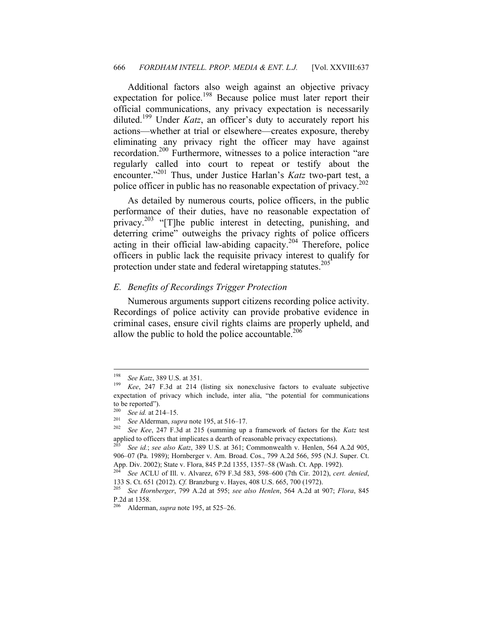Additional factors also weigh against an objective privacy expectation for police.<sup>198</sup> Because police must later report their official communications, any privacy expectation is necessarily diluted.199 Under *Katz*, an officer's duty to accurately report his actions—whether at trial or elsewhere—creates exposure, thereby eliminating any privacy right the officer may have against recordation.<sup>200</sup> Furthermore, witnesses to a police interaction "are regularly called into court to repeat or testify about the encounter."<sup>201</sup> Thus, under Justice Harlan's *Katz* two-part test, a police officer in public has no reasonable expectation of privacy.<sup>202</sup>

As detailed by numerous courts, police officers, in the public performance of their duties, have no reasonable expectation of privacy.<sup>203</sup> "[T]he public interest in detecting, punishing, and deterring crime" outweighs the privacy rights of police officers acting in their official law-abiding capacity.204 Therefore, police officers in public lack the requisite privacy interest to qualify for protection under state and federal wiretapping statutes.<sup>205</sup>

#### *E. Benefits of Recordings Trigger Protection*

Numerous arguments support citizens recording police activity. Recordings of police activity can provide probative evidence in criminal cases, ensure civil rights claims are properly upheld, and allow the public to hold the police accountable. $206$ 

<sup>198</sup> 

See *Katz*, 389 U.S. at 351.<br>*Kee*, 247 F.3d at 214 (listing six nonexclusive factors to evaluate subjective expectation of privacy which include, inter alia, "the potential for communications to be reported").

<sup>200</sup> *See id.* at 214–15. 201 *See* Alderman, *supra* note 195, at 516–17. 202 *See Kee*, 247 F.3d at 215 (summing up a framework of factors for the *Katz* test applied to officers that implicates a dearth of reasonable privacy expectations). 203 *See id.*; *see also Katz*, 389 U.S. at 361; Commonwealth v. Henlen, 564 A.2d 905,

<sup>906–07 (</sup>Pa. 1989); Hornberger v. Am. Broad. Cos., 799 A.2d 566, 595 (N.J. Super. Ct. App. Div. 2002); State v. Flora, 845 P.2d 1355, 1357–58 (Wash. Ct. App. 1992).

<sup>204</sup> *See* ACLU of Ill. v. Alvarez, 679 F.3d 583, 598–600 (7th Cir. 2012), *cert. denied*,

<sup>133</sup> S. Ct. 651 (2012). *Cf.* Branzburg v. Hayes, 408 U.S. 665, 700 (1972). 205 *See Hornberger*, 799 A.2d at 595; *see also Henlen*, 564 A.2d at 907; *Flora*, 845 P.2d at 1358.

<sup>206</sup> Alderman, *supra* note 195, at 525–26.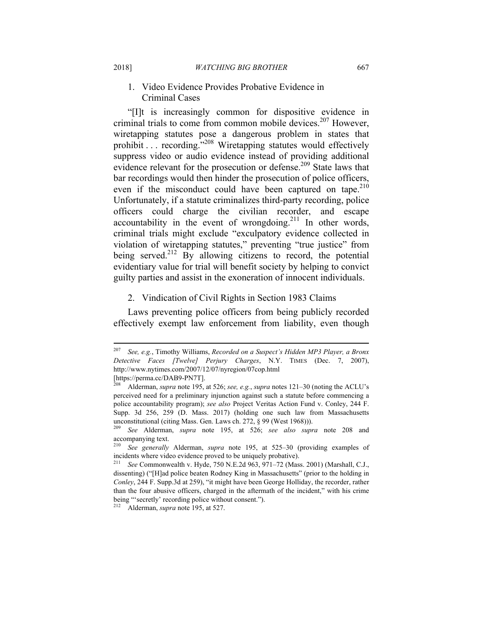### 1. Video Evidence Provides Probative Evidence in Criminal Cases

"[I]t is increasingly common for dispositive evidence in criminal trials to come from common mobile devices.<sup>207</sup> However, wiretapping statutes pose a dangerous problem in states that prohibit . . . recording."208 Wiretapping statutes would effectively suppress video or audio evidence instead of providing additional evidence relevant for the prosecution or defense.<sup>209</sup> State laws that bar recordings would then hinder the prosecution of police officers, even if the misconduct could have been captured on tape.<sup>210</sup> Unfortunately, if a statute criminalizes third-party recording, police officers could charge the civilian recorder, and escape accountability in the event of wrongdoing.<sup>211</sup> In other words, criminal trials might exclude "exculpatory evidence collected in violation of wiretapping statutes," preventing "true justice" from being served.<sup>212</sup> By allowing citizens to record, the potential evidentiary value for trial will benefit society by helping to convict guilty parties and assist in the exoneration of innocent individuals.

#### 2. Vindication of Civil Rights in Section 1983 Claims

Laws preventing police officers from being publicly recorded effectively exempt law enforcement from liability, even though

[https://perma.cc/DAB9-PN7T].

<sup>207</sup> <sup>207</sup> *See, e.g.*, Timothy Williams, *Recorded on a Suspect's Hidden MP3 Player, a Bronx Detective Faces [Twelve] Perjury Charges*, N.Y. TIMES (Dec. 7, 2007), http://www.nytimes.com/2007/12/07/nyregion/07cop.html

<sup>208</sup> Alderman, *supra* note 195, at 526; *see, e.g.*, *supra* notes 121–30 (noting the ACLU's perceived need for a preliminary injunction against such a statute before commencing a police accountability program); *see also* Project Veritas Action Fund v. Conley, 244 F. Supp. 3d 256, 259 (D. Mass. 2017) (holding one such law from Massachusetts unconstitutional (citing Mass. Gen. Laws ch. 272, § 99 (West 1968))).<br><sup>209</sup> See Aldamian suppose note 105, at 526, assembly away

<sup>209</sup> *See* Alderman, *supra* note 195, at 526; *see also supra* note 208 and accompanying text.

<sup>210</sup> *See generally* Alderman, *supra* note 195, at 525–30 (providing examples of incidents where video evidence proved to be uniquely probative).

<sup>211</sup> *See* Commonwealth v. Hyde, 750 N.E.2d 963, 971–72 (Mass. 2001) (Marshall, C.J., dissenting) ("[H]ad police beaten Rodney King in Massachusetts" (prior to the holding in *Conley*, 244 F. Supp.3d at 259), "it might have been George Holliday, the recorder, rather than the four abusive officers, charged in the aftermath of the incident," with his crime being "'secretly' recording police without consent.").

<sup>212</sup> Alderman, *supra* note 195, at 527.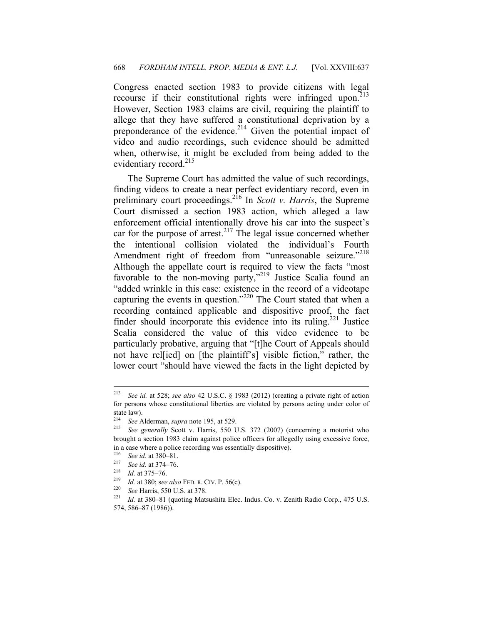Congress enacted section 1983 to provide citizens with legal recourse if their constitutional rights were infringed upon. $213$ However, Section 1983 claims are civil, requiring the plaintiff to allege that they have suffered a constitutional deprivation by a preponderance of the evidence.<sup>214</sup> Given the potential impact of video and audio recordings, such evidence should be admitted when, otherwise, it might be excluded from being added to the evidentiary record.<sup>215</sup>

The Supreme Court has admitted the value of such recordings, finding videos to create a near perfect evidentiary record, even in preliminary court proceedings.216 In *Scott v. Harris*, the Supreme Court dismissed a section 1983 action, which alleged a law enforcement official intentionally drove his car into the suspect's car for the purpose of arrest.<sup>217</sup> The legal issue concerned whether the intentional collision violated the individual's Fourth Amendment right of freedom from "unreasonable seizure."<sup>218</sup> Although the appellate court is required to view the facts "most favorable to the non-moving party,"<sup>219</sup> Justice Scalia found an "added wrinkle in this case: existence in the record of a videotape capturing the events in question."<sup>220</sup> The Court stated that when a recording contained applicable and dispositive proof, the fact finder should incorporate this evidence into its ruling.<sup>221</sup> Justice Scalia considered the value of this video evidence to be particularly probative, arguing that "[t]he Court of Appeals should not have rel[ied] on [the plaintiff's] visible fiction," rather, the lower court "should have viewed the facts in the light depicted by

<sup>213</sup> <sup>213</sup> *See id.* at 528; *see also* 42 U.S.C. § 1983 (2012) (creating a private right of action for persons whose constitutional liberties are violated by persons acting under color of state law).<br> $214 \, \text{S}$ 

<sup>&</sup>lt;sup>214</sup> See Alderman, *supra* note 195, at 529.<br><sup>215</sup> See generally Scott y Harris 550 I

<sup>215</sup> *See generally* Scott v. Harris, 550 U.S. 372 (2007) (concerning a motorist who brought a section 1983 claim against police officers for allegedly using excessive force, in a case where a police recording was essentially dispositive).

<sup>&</sup>lt;sup>216</sup> See id. at 380–81.<br>
<sup>217</sup> See id. at 374–76.<br>
<sup>218</sup> Id. at 375–76.<br>
<sup>218</sup> Id. at 380; see also FED. R. CIV. P. 56(c).<br>
<sup>220</sup> See Harris, 550 U.S. at 378.<br>
<sup>221</sup> Id. at 380–81 (quoting Matsushita Elec. Indus. Co. v. 574, 586–87 (1986)).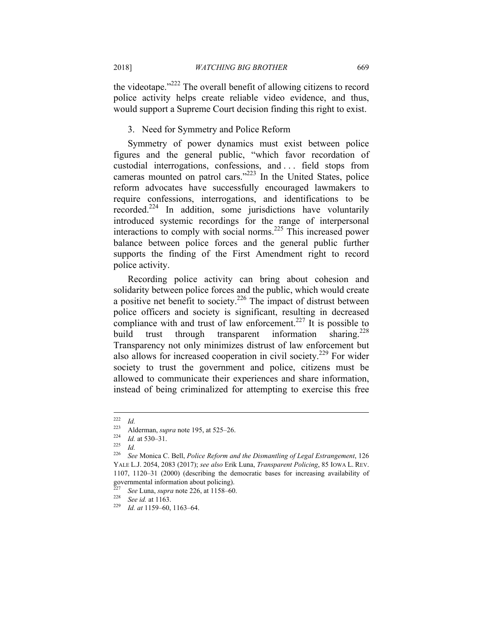the videotape."<sup>222</sup> The overall benefit of allowing citizens to record police activity helps create reliable video evidence, and thus, would support a Supreme Court decision finding this right to exist.

#### 3. Need for Symmetry and Police Reform

Symmetry of power dynamics must exist between police figures and the general public, "which favor recordation of custodial interrogations, confessions, and . . . field stops from cameras mounted on patrol cars."223 In the United States, police reform advocates have successfully encouraged lawmakers to require confessions, interrogations, and identifications to be recorded.<sup>224</sup> In addition, some jurisdictions have voluntarily introduced systemic recordings for the range of interpersonal interactions to comply with social norms.225 This increased power balance between police forces and the general public further supports the finding of the First Amendment right to record police activity.

Recording police activity can bring about cohesion and solidarity between police forces and the public, which would create a positive net benefit to society.<sup>226</sup> The impact of distrust between police officers and society is significant, resulting in decreased compliance with and trust of law enforcement.<sup>227</sup> It is possible to build trust through transparent information sharing.<sup>228</sup> Transparency not only minimizes distrust of law enforcement but also allows for increased cooperation in civil society.<sup>229</sup> For wider society to trust the government and police, citizens must be allowed to communicate their experiences and share information, instead of being criminalized for attempting to exercise this free

 $222$  $\frac{222}{223}$  *Id.* 

<sup>223</sup> Alderman, *supra* note 195, at 525–26.<br>
<sup>225</sup> *Id.*<br>
<sup>226</sup> See Monics G. Boll, *Bolige Beform* and

<sup>226</sup> *See* Monica C. Bell, *Police Reform and the Dismantling of Legal Estrangement*, 126 YALE L.J. 2054, 2083 (2017); *see also* Erik Luna, *Transparent Policing*, 85 IOWA L. REV. 1107, 1120–31 (2000) (describing the democratic bases for increasing availability of governmental information about policing).

<sup>227</sup> *See* Luna, *supra* note 226, at 1158–60. 228 *See id.* at 1163. 229 *Id. at* 1159–60, 1163–64.